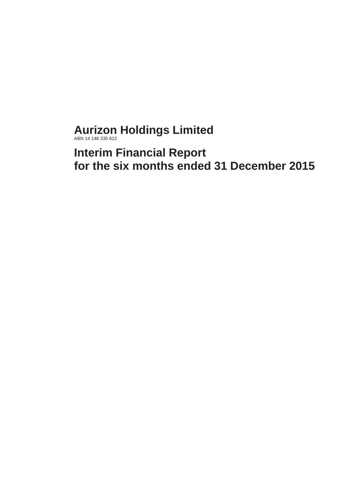**Aurizon Holdings Limited** ABN 14 146 335 622

**Interim Financial Report for the six months ended 31 December 2015**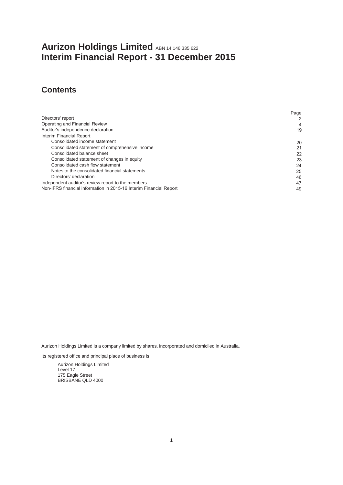# **Aurizon Holdings Limited** ABN 14 146 335 622 **Interim Financial Report - 31 December 2015**

# **Contents**

|                                                                    | Page |
|--------------------------------------------------------------------|------|
| Directors' report                                                  | 2    |
| Operating and Financial Review                                     | 4    |
| Auditor's independence declaration                                 | 19   |
| Interim Financial Report                                           |      |
| Consolidated income statement                                      | 20   |
| Consolidated statement of comprehensive income                     | 21   |
| Consolidated balance sheet                                         | 22   |
| Consolidated statement of changes in equity                        | 23   |
| Consolidated cash flow statement                                   | 24   |
| Notes to the consolidated financial statements                     | 25   |
| Directors' declaration                                             | 46   |
| Independent auditor's review report to the members                 | 47   |
| Non-IFRS financial information in 2015-16 Interim Financial Report | 49   |

Aurizon Holdings Limited is a company limited by shares, incorporated and domiciled in Australia.

Its registered office and principal place of business is:

Aurizon Holdings Limited Level 17 175 Eagle Street BRISBANE QLD 4000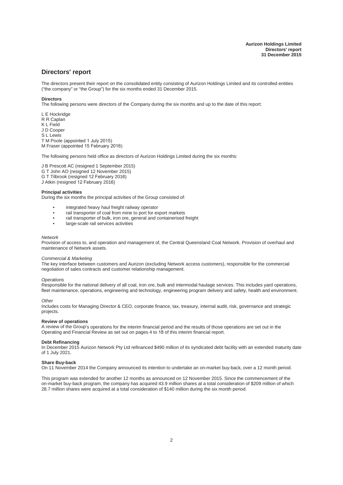## **Directors' report**

The directors present their report on the consolidated entity consisting of Aurizon Holdings Limited and its controlled entities ("the company" or "the Group") for the six months ended 31 December 2015.

#### **Directors**

The following persons were directors of the Company during the six months and up to the date of this report:

L E Hockridge R R Caplan K L Field J D Cooper S L Lewis T M Poole (appointed 1 July 2015) M Fraser (appointed 15 February 2016)

The following persons held office as directors of Aurizon Holdings Limited during the six months:

J B Prescott AC (resigned 1 September 2015) G T John AO (resigned 12 November 2015) G T Tilbrook (resigned 12 February 2016) J Atkin (resigned 12 February 2016)

#### **Principal activities**

During the six months the principal activities of the Group consisted of:

- integrated heavy haul freight railway operator
- rail transporter of coal from mine to port for export markets
- rail transporter of bulk, iron ore, general and containerised freight<br>• large-scale rail services activities
- large-scale rail services activities

#### *Network*

Provision of access to, and operation and management of, the Central Queensland Coal Network. Provision of overhaul and maintenance of Network assets.

#### *Commercial & Marketing*

The key interface between customers and Aurizon (excluding Network access customers), responsible for the commercial negotiation of sales contracts and customer relationship management.

#### *Operations*

Responsible for the national delivery of all coal, iron ore, bulk and intermodal haulage services. This includes yard operations, fleet maintenance, operations, engineering and technology, engineering program delivery and safety, health and environment.

#### *Other*

Includes costs for Managing Director & CEO, corporate finance, tax, treasury, internal audit, risk, governance and strategic projects.

#### **Review of operations**

A review of the Group's operations for the interim financial period and the results of those operations are set out in the Operating and Financial Review as set out on pages 4 to 18 of this interim financial report.

#### **Debt Refinancing**

In December 2015 Aurizon Network Pty Ltd refinanced \$490 million of its syndicated debt facility with an extended maturity date of 1 July 2021.

#### **Share Buy-back**

On 11 November 2014 the Company announced its intention to undertake an on-market buy-back, over a 12 month period.

This program was extended for another 12 months as announced on 12 November 2015. Since the commencement of the on-market buy-back program, the company has acquired 43.9 million shares at a total consideration of \$209 million of which 28.7 million shares were acquired at a total consideration of \$140 million during the six month period.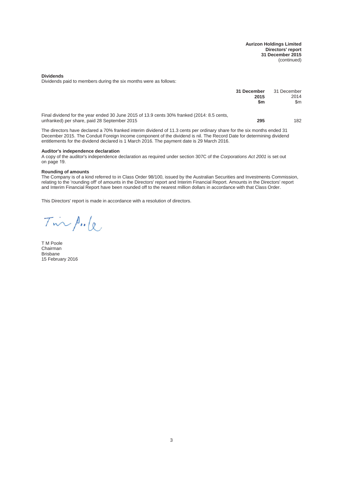**Aurizon Holdings Limited Directors' report 31 December 2015** (continued)

**Dividends**

Dividends paid to members during the six months were as follows:

|                                                                                                                                            | 31 December<br>2015<br>\$m | 31 December<br>2014<br>\$m |
|--------------------------------------------------------------------------------------------------------------------------------------------|----------------------------|----------------------------|
| Final dividend for the year ended 30 June 2015 of 13.9 cents 30% franked (2014: 8.5 cents,<br>unfranked) per share, paid 28 September 2015 | 295                        | 182                        |

The directors have declared a 70% franked interim dividend of 11.3 cents per ordinary share for the six months ended 31 December 2015. The Conduit Foreign Income component of the dividend is nil. The Record Date for determining dividend entitlements for the dividend declared is 1 March 2016. The payment date is 29 March 2016.

#### **Auditor's independence declaration**

A copy of the auditor's independence declaration as required under section 307C of the *Corporations Act 2001* is set out on page 19.

#### **Rounding of amounts**

The Company is of a kind referred to in Class Order 98/100, issued by the Australian Securities and Investments Commission, relating to the 'rounding off' of amounts in the Directors' report and Interim Financial Report. Amounts in the Directors' report and Interim Financial Report have been rounded off to the nearest million dollars in accordance with that Class Order.

This Directors' report is made in accordance with a resolution of directors.

Tinpule

T M Poole Chairman Brisbane 15 February 2016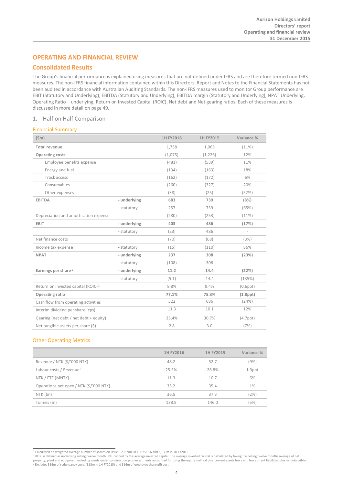## **OPERATING AND FINANCIAL REVIEW**

## **Consolidated Results**

The Group's financial performance is explained using measures that are not defined under IFRS and are therefore termed non-IFRS measures. The non-IFRS financial information contained within this Directors' Report and Notes to the Financial Statements has not been audited in accordance with Australian Auditing Standards. The non-IFRS measures used to monitor Group performance are EBIT (Statutory and Underlying), EBITDA (Statutory and Underlying), EBITDA margin (Statutory and Underlying), NPAT Underlying, Operating Ratio – underlying, Return on Invested Capital (ROIC), Net debt and Net gearing ratios. Each of these measures is discussed in more detail on page 49.

## 1. Half on Half Comparison

## Financial Summary

| (Sm)                                           |              | 1H FY2016 | 1H FY2015 | Variance %               |
|------------------------------------------------|--------------|-----------|-----------|--------------------------|
| <b>Total revenue</b>                           |              | 1,758     | 1,965     | (11%)                    |
| <b>Operating costs</b>                         |              | (1,075)   | (1,226)   | 12%                      |
| Employee benefits expense                      |              | (481)     | (539)     | 11%                      |
| Energy and fuel                                |              | (134)     | (163)     | 18%                      |
| Track access                                   |              | (162)     | (172)     | 6%                       |
| Consumables                                    |              | (260)     | (327)     | 20%                      |
| Other expenses                                 |              | (38)      | (25)      | (52%)                    |
| <b>EBITDA</b>                                  | - underlying | 683       | 739       | (8%)                     |
|                                                | - statutory  | 257       | 739       | (65%)                    |
| Depreciation and amortisation expense          |              | (280)     | (253)     | (11%)                    |
| <b>EBIT</b>                                    | - underlying | 403       | 486       | (17%)                    |
|                                                | - statutory  | (23)      | 486       | $\overline{\phantom{a}}$ |
| Net finance costs                              |              | (70)      | (68)      | (3%)                     |
| Income tax expense                             | - statutory  | (15)      | (110)     | 86%                      |
| <b>NPAT</b>                                    | - underlying | 237       | 308       | (23%)                    |
|                                                | - statutory  | (108)     | 308       | $\overline{\phantom{a}}$ |
| Earnings per share $1$                         | - underlying | 11.2      | 14.4      | (22%)                    |
|                                                | - statutory  | (5.1)     | 14.4      | (135%)                   |
| Return on invested capital (ROIC) <sup>2</sup> |              | 8.8%      | 9.4%      | $(0.6$ ppt $)$           |
| <b>Operating ratio</b>                         |              | 77.1%     | 75.3%     | $(1.8$ ppt $)$           |
| Cash flow from operating activities            |              | 522       | 686       | (24%)                    |
| Interim dividend per share (cps)               |              | 11.3      | 10.1      | 12%                      |
| Gearing (net debt / net debt + equity)         |              | 35.4%     | 30.7%     | $(4.7$ ppt $)$           |
| Net tangible assets per share (\$)             |              | 2.8       | 3.0       | (7%)                     |

## Other Operating Metrics

|                                         | 1H FY2016 | 1H FY2015 | Variance % |
|-----------------------------------------|-----------|-----------|------------|
| Revenue / NTK (\$/'000 NTK)             | 48.2      | 52.7      | (9%)       |
| Labour costs / Revenue <sup>3</sup>     | 25.5%     | 26.8%     | 1.3ppt     |
| NTK / FTE (MNTK)                        | 11.3      | 10.7      | 6%         |
| Operations net opex / NTK (\$/'000 NTK) | 35.2      | 35.4      | $1\%$      |
| NTK (bn)                                | 36.5      | 37.3      | (2%)       |
| Tonnes (m)                              | 138.9     | 146.0     | (5%)       |

<span id="page-4-0"></span><sup>1</sup> Calculated on weighted average number of shares on issue – 2,109m in 1H FY2016 and 2,136m in 1H FY2015

<span id="page-4-2"></span><span id="page-4-1"></span><sup>&</sup>lt;sup>2</sup> ROIC is defined as underlying rolling twelve month EBIT divided by the average invested capital. The average invested capital is calculated by taking the rolling twelve months average of net property, plant and equipment including assets under construction plus investments accounted for using the equity method plus current assets less cash, less current liabilities plus net intangibles<br><sup>3</sup> Excludes \$16m of red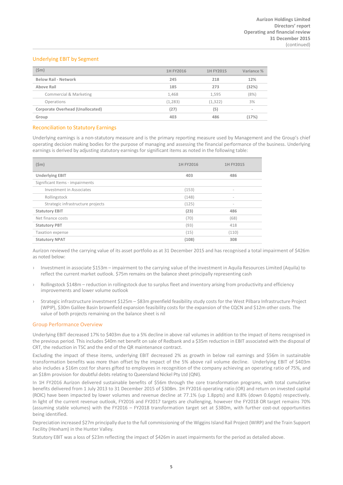## Underlying EBIT by Segment

| $(\$m)$                          | 1H FY2016 | 1H FY2015 | Variance % |
|----------------------------------|-----------|-----------|------------|
| <b>Below Rail - Network</b>      | 245       | 218       | 12%        |
| Above Rail                       | 185       | 273       | (32%)      |
| Commercial & Marketing           | 1,468     | 1,595     | (8%)       |
| Operations                       | (1,283)   | (1, 322)  | 3%         |
| Corporate Overhead (Unallocated) | (27)      | (5)       | $\sim$     |
| Group                            | 403       | 486       | (17%)      |

#### Reconciliation to Statutory Earnings

Underlying earnings is a non-statutory measure and is the primary reporting measure used by Management and the Group's chief operating decision making bodies for the purpose of managing and assessing the financial performance of the business. Underlying earnings is derived by adjusting statutory earnings for significant items as noted in the following table:

| $(\$m)$                           | 1H FY2016 | 1H FY2015                |
|-----------------------------------|-----------|--------------------------|
| <b>Underlying EBIT</b>            | 403       | 486                      |
| Significant Items - impairments   |           |                          |
| Investment in Associates          | (153)     | -                        |
| Rollingstock                      | (148)     | -                        |
| Strategic infrastructure projects | (125)     | $\overline{\phantom{a}}$ |
| <b>Statutory EBIT</b>             | (23)      | 486                      |
| Net finance costs                 | (70)      | (68)                     |
| <b>Statutory PBT</b>              | (93)      | 418                      |
| <b>Taxation expense</b>           | (15)      | (110)                    |
| <b>Statutory NPAT</b>             | (108)     | 308                      |

Aurizon reviewed the carrying value of its asset portfolio as at 31 December 2015 and has recognised a total impairment of \$426m as noted below:

- › Investment in associate \$153m impairment to the carrying value of the investment in Aquila Resources Limited (Aquila) to reflect the current market outlook. \$75m remains on the balance sheet principally representing cash
- › Rollingstock \$148m reduction in rollingstock due to surplus fleet and inventory arising from productivity and efficiency improvements and lower volume outlook
- › Strategic infrastructure investment \$125m \$83m greenfield feasibility study costs for the West Pilbara Infrastructure Project (WPIP), \$30m Galilee Basin brownfield expansion feasibility costs for the expansion of the CQCN and \$12m other costs. The value of both projects remaining on the balance sheet is nil

### Group Performance Overview

Underlying EBIT decreased 17% to \$403m due to a 5% decline in above rail volumes in addition to the impact of items recognised in the previous period. This includes \$40m net benefit on sale of Redbank and a \$35m reduction in EBIT associated with the disposal of CRT, the reduction in TSC and the end of the QR maintenance contract.

Excluding the impact of these items, underlying EBIT decreased 2% as growth in below rail earnings and \$56m in sustainable transformation benefits was more than offset by the impact of the 5% above rail volume decline. Underlying EBIT of \$403m also includes a \$16m cost for shares gifted to employees in recognition of the company achieving an operating ratio of 75%, and an \$18m provision for doubtful debts relating to Queensland Nickel Pty Ltd (QNI).

In 1H FY2016 Aurizon delivered sustainable benefits of \$56m through the core transformation programs, with total cumulative benefits delivered from 1 July 2013 to 31 December 2015 of \$308m. 1H FY2016 operating ratio (OR) and return on invested capital (ROIC) have been impacted by lower volumes and revenue decline at 77.1% (up 1.8ppts) and 8.8% (down 0.6ppts) respectively. In light of the current revenue outlook, FY2016 and FY2017 targets are challenging, however the FY2018 OR target remains 70% (assuming stable volumes) with the FY2016 – FY2018 transformation target set at \$380m, with further cost-out opportunities being identified.

Depreciation increased \$27m principally due to the full commissioning of the Wiggins Island Rail Project (WIRP) and the Train Support Facility (Hexham) in the Hunter Valley.

Statutory EBIT was a loss of \$23m reflecting the impact of \$426m in asset impairments for the period as detailed above.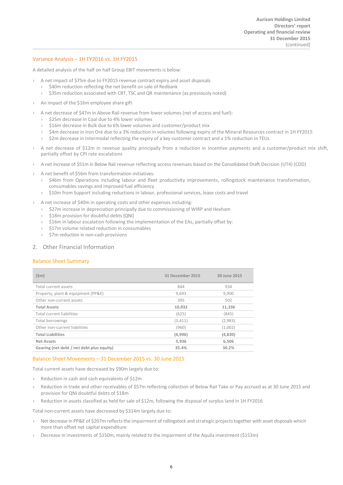## Variance Analysis – 1H FY2016 vs. 1H FY2015

A detailed analysis of the half on half Group EBIT movements is below:

- › A net impact of \$75m due to FY2015 revenue contract expiry and asset disposals
	- \$40m reduction reflecting the net benefit on sale of Redbank
	- › \$35m reduction associated with CRT, TSC and QR maintenance (as previously noted)
- An impact of the \$16m employee share gift
- › A net decrease of \$47m in Above Rail revenue from lower volumes (net of access and fuel):
	- › \$25m decrease in Coal due to 4% lower volumes
	- \$16m decrease in Bulk due to 6% lower volumes and customer/product mix
	- › \$4m decrease in Iron Ore due to a 3% reduction in volumes following expiry of the Mineral Resources contract in 1H FY2015
	- › \$2m decrease in Intermodal reflecting the expiry of a key customer contract and a 1% reduction in TEUs
- A net decrease of \$12m in revenue quality principally from a reduction in incentive payments and a customer/product mix shift, partially offset by CPI rate escalations
- › A net increase of \$51m in Below Rail revenue reflecting access revenues based on the Consolidated Draft Decision (UT4) (CDD)
- › A net benefit of \$56m from transformation initiatives:
	- › \$46m from Operations including labour and fleet productivity improvements, rollingstock maintenance transformation, consumables savings and improved fuel efficiency
	- › \$10m from Support including reductions in labour, professional services, lease costs and travel
- › A net increase of \$40m in operating costs and other expenses including:
	- › \$27m increase in depreciation principally due to commissioning of WIRP and Hexham
	- › \$18m provision for doubtful debts (QNI)
	- $\rightarrow$  \$16m in labour escalation following the implementation of the EAs, partially offset by:
	- › \$17m volume related reduction in consumables
	- › \$7m reduction in non-cash provisions

### 2. Other Financial Information

## Balance Sheet Summary

| $(\text{5m})$                             | 31 December 2015 | 30 June 2015 |
|-------------------------------------------|------------------|--------------|
| Total current assets                      | 844              | 934          |
| Property, plant & equipment (PP&E)        | 9.693            | 9.900        |
| Other non-current assets                  | 395              | 502          |
| <b>Total Assets</b>                       | 10,932           | 11,336       |
| Total current liabilities                 | (625)            | (845)        |
| Total borrowings                          | (3, 411)         | (2,983)      |
| Other non-current liabilities             | (960)            | (1,002)      |
| <b>Total Liabilities</b>                  | (4,996)          | (4,830)      |
| <b>Net Assets</b>                         | 5,936            | 6,506        |
| Gearing (net debt / net debt plus equity) | 35.4%            | 30.2%        |

### Balance Sheet Movements – 31 December 2015 vs. 30 June 2015

Total current assets have decreased by \$90m largely due to:

- › Reduction in cash and cash equivalents of \$12m
- Reduction in trade and other receivables of \$57m reflecting collection of Below Rail Take or Pay accrued as at 30 June 2015 and provision for QNI doubtful debts of \$18m
- › Reduction in assets classified as held for sale of \$12m, following the disposal of surplus land in 1H FY2016

Total non-current assets have decreased by \$314m largely due to:

- > Net decrease in PP&E of \$207m reflects the impairment of rollingstock and strategic projects together with asset disposals which more than offset net capital expenditure
- Decrease in investments of \$150m, mainly related to the impairment of the Aquila investment (\$153m)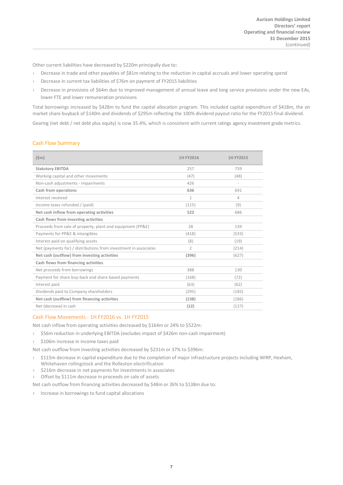Other current liabilities have decreased by \$220m principally due to:

- › Decrease in trade and other payables of \$81m relating to the reduction in capital accruals and lower operating spend
- › Decrease in current tax liabilities of \$76m on payment of FY2015 liabilities
- › Decrease in provisions of \$64m due to improved management of annual leave and long service provisions under the new EAs, lower FTE and lower remuneration provisions

Total borrowings increased by \$428m to fund the capital allocation program. This included capital expenditure of \$418m, the on market share buyback of \$140m and dividends of \$295m reflecting the 100% dividend payout ratio for the FY2015 final dividend.

Gearing (net debt / net debt plus equity) is now 35.4%, which is consistent with current ratings agency investment grade metrics.

### Cash Flow Summary

| (Sm)                                                             | 1H FY2016      | 1H FY2015 |
|------------------------------------------------------------------|----------------|-----------|
| <b>Statutory EBITDA</b>                                          | 257            | 739       |
| Working capital and other movements                              | (47)           | (48)      |
| Non-cash adjustments - impairments                               | 426            | $\sim$    |
| Cash from operations                                             | 636            | 691       |
| Interest received                                                | $\mathbf{1}$   | 4         |
| Income taxes refunded / (paid)                                   | (115)          | (9)       |
| Net cash inflow from operating activities                        | 522            | 686       |
| Cash flows from investing activities                             |                |           |
| Proceeds from sale of property, plant and equipment (PP&E)       | 28             | 139       |
| Payments for PP&E & intangibles                                  | (418)          | (533)     |
| Interest paid on qualifying assets                               | (8)            | (19)      |
| Net (payments for) / distributions from investment in associates | $\overline{2}$ | (214)     |
| Net cash (outflow) from investing activities                     | (396)          | (627)     |
| Cash flows from financing activities                             |                |           |
| Net proceeds from borrowings                                     | 388            | 130       |
| Payment for share buy-back and share based payments              | (168)          | (72)      |
| Interest paid                                                    | (63)           | (62)      |
| Dividends paid to Company shareholders                           | (295)          | (182)     |
| Net cash (outflow) from financing activities                     | (138)          | (186)     |
| Net (decrease) in cash                                           | (12)           | (127)     |

### Cash Flow Movements - 1H FY2016 vs. 1H FY2015

Net cash inflow from operating activities decreased by \$164m or 24% to \$522m:

- › \$56m reduction in underlying EBITDA (excludes impact of \$426m non-cash impairment)
- › \$106m increase in income taxes paid

Net cash outflow from investing activities decreased by \$231m or 37% to \$396m:

- › \$115m decrease in capital expenditure due to the completion of major infrastructure projects including WIRP, Hexham, Whitehaven rollingstock and the Rolleston electrification
- \$216m decrease in net payments for investments in associates
- › Offset by \$111m decrease in proceeds on sale of assets

Net cash outflow from financing activities decreased by \$48m or 26% to \$138m due to:

› Increase in borrowings to fund capital allocations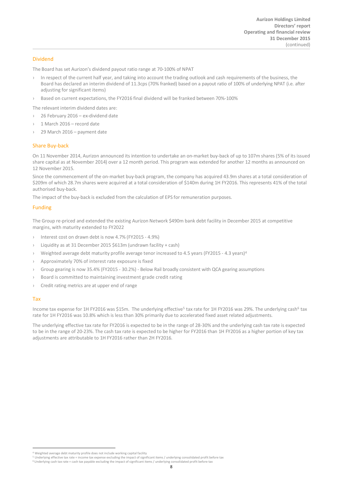## Dividend

The Board has set Aurizon's dividend payout ratio range at 70-100% of NPAT

- › In respect of the current half year, and taking into account the trading outlook and cash requirements of the business, the Board has declared an interim dividend of 11.3cps (70% franked) based on a payout ratio of 100% of underlying NPAT (i.e. after adjusting for significant items)
- › Based on current expectations, the FY2016 final dividend will be franked between 70%-100%

The relevant interim dividend dates are:

- 26 February 2016 ex-dividend date
- › 1 March 2016 record date
- $29$  March  $2016$  payment date

## Share Buy-back

On 11 November 2014, Aurizon announced its intention to undertake an on-market buy-back of up to 107m shares (5% of its issued share capital as at November 2014) over a 12 month period. This program was extended for another 12 months as announced on 12 November 2015.

Since the commencement of the on-market buy-back program, the company has acquired 43.9m shares at a total consideration of \$209m of which 28.7m shares were acquired at a total consideration of \$140m during 1H FY2016. This represents 41% of the total authorised buy-back.

The impact of the buy-back is excluded from the calculation of EPS for remuneration purposes.

## Funding

The Group re-priced and extended the existing Aurizon Network \$490m bank debt facility in December 2015 at competitive margins, with maturity extended to FY2022

- › Interest cost on drawn debt is now 4.7% (FY2015 4.9%)
- Liquidity as at 31 December 2015 \$613m (undrawn facility + cash)
- Weighted average debt maturity profile average tenor increased to [4](#page-8-0).5 years (FY2015 4.3 years)<sup>4</sup>
- Approximately 70% of interest rate exposure is fixed
- › Group gearing is now 35.4% (FY2015 30.2%) Below Rail broadly consistent with QCA gearing assumptions
- Board is committed to maintaining investment grade credit rating
- › Credit rating metrics are at upper end of range

### Tax

Income tax expense for 1H FY2016 was \$1[5](#page-8-1)m. The underlying effective<sup>5</sup> tax rate for 1H FY2016 was 29%. The underlying cash<sup>6</sup> tax rate for 1H FY2016 was 10.8% which is less than 30% primarily due to accelerated fixed asset related adjustments.

The underlying effective tax rate for FY2016 is expected to be in the range of 28-30% and the underlying cash tax rate is expected to be in the range of 20-23%. The cash tax rate is expected to be higher for FY2016 than 1H FY2016 as a higher portion of key tax adjustments are attributable to 1H FY2016 rather than 2H FY2016.

<sup>&</sup>lt;sup>4</sup> Weighted average debt maturity profile does not include working capital facility

<span id="page-8-2"></span><span id="page-8-1"></span><span id="page-8-0"></span><sup>5</sup> Underlying effective tax rate = income tax expense excluding the impact of significant items / underlying consolidated profit before tax <sup>6</sup> Underlying cash tax rate = cash tax payable excluding the impact of significant items / underlying consolidated profit before tax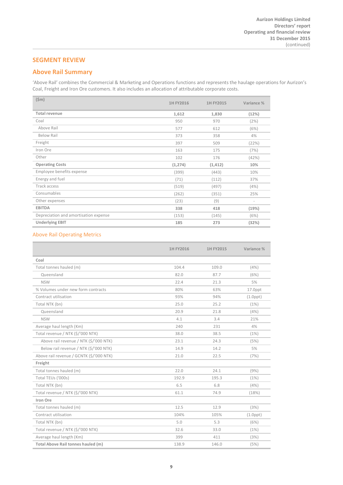## **SEGMENT REVIEW**

## **Above Rail Summary**

'Above Rail' combines the Commercial & Marketing and Operations functions and represents the haulage operations for Aurizon's Coal, Freight and Iron Ore customers. It also includes an allocation of attributable corporate costs.

| $(\$m)$                               | 1H FY2016 | 1H FY2015 | Variance % |
|---------------------------------------|-----------|-----------|------------|
| <b>Total revenue</b>                  | 1,612     | 1,830     | (12%)      |
| Coal                                  | 950       | 970       | (2%)       |
| Above Rail                            | 577       | 612       | (6%)       |
| <b>Below Rail</b>                     | 373       | 358       | 4%         |
| Freight                               | 397       | 509       | (22%)      |
| Iron Ore                              | 163       | 175       | (7%)       |
| Other                                 | 102       | 176       | (42%)      |
| <b>Operating Costs</b>                | (1, 274)  | (1, 412)  | 10%        |
| Employee benefits expense             | (399)     | (443)     | 10%        |
| Energy and fuel                       | (71)      | (112)     | 37%        |
| Track access                          | (519)     | (497)     | (4%)       |
| Consumables                           | (262)     | (351)     | 25%        |
| Other expenses                        | (23)      | (9)       | $\sim$     |
| <b>EBITDA</b>                         | 338       | 418       | (19%)      |
| Depreciation and amortisation expense | (153)     | (145)     | (6%)       |
| <b>Underlying EBIT</b>                | 185       | 273       | (32%)      |

## Above Rail Operating Metrics

|                                          | 1H FY2016 | 1H FY2015 | Variance %     |
|------------------------------------------|-----------|-----------|----------------|
| Coal                                     |           |           |                |
| Total tonnes hauled (m)                  | 104.4     | 109.0     | (4%)           |
| Queensland                               | 82.0      | 87.7      | (6%)           |
| <b>NSW</b>                               | 22.4      | 21.3      | 5%             |
| % Volumes under new form contracts       | 80%       | 63%       | $17.0$ ppt     |
| Contract utilisation                     | 93%       | 94%       | $(1.0$ ppt $)$ |
| Total NTK (bn)                           | 25.0      | 25.2      | (1%)           |
| Queensland                               | 20.9      | 21.8      | (4%)           |
| <b>NSW</b>                               | 4.1       | 3.4       | 21%            |
| Average haul length (Km)                 | 240       | 231       | 4%             |
| Total revenue / NTK (\$/'000 NTK)        | 38.0      | 38.5      | (1%)           |
| Above rail revenue / NTK (\$/'000 NTK)   | 23.1      | 24.3      | (5%)           |
| Below rail revenue / NTK (\$/'000 NTK)   | 14.9      | 14.2      | 5%             |
| Above rail revenue / GCNTK (\$/'000 NTK) | 21.0      | 22.5      | (7%)           |
| Freight                                  |           |           |                |
| Total tonnes hauled (m)                  | 22.0      | 24.1      | (9%)           |
| Total TEUs ('000s)                       | 192.9     | 195.3     | (1%)           |
| Total NTK (bn)                           | 6.5       | 6.8       | (4%)           |
| Total revenue / NTK (\$/'000 NTK)        | 61.1      | 74.9      | (18%)          |
| Iron Ore                                 |           |           |                |
| Total tonnes hauled (m)                  | 12.5      | 12.9      | (3%)           |
| Contract utilisation                     | 104%      | 105%      | $(1.0$ ppt $)$ |
| Total NTK (bn)                           | 5.0       | 5.3       | (6%)           |
| Total revenue / NTK (\$/'000 NTK)        | 32.6      | 33.0      | (1%)           |
| Average haul length (Km)                 | 399       | 411       | (3%)           |
| Total Above Rail tonnes hauled (m)       | 138.9     | 146.0     | (5%)           |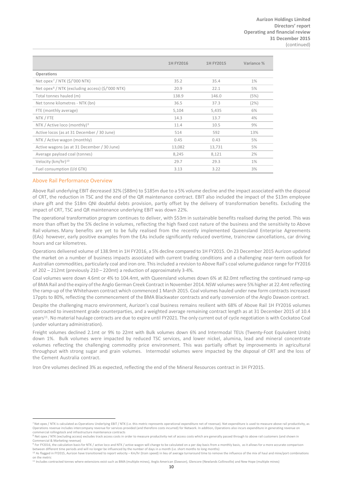|                                                              | 1H FY2016 | 1H FY2015 | Variance % |
|--------------------------------------------------------------|-----------|-----------|------------|
| Operations                                                   |           |           |            |
| Net opex <sup>7</sup> / NTK $(\frac{2}{5}$ /'000 NTK)        | 35.2      | 35.4      | $1\%$      |
| Net opex <sup>8</sup> / NTK (excluding access) (\$/'000 NTK) | 20.9      | 22.1      | 5%         |
| Total tonnes hauled (m)                                      | 138.9     | 146.0     | (5%)       |
| Net tonne kilometres - NTK (bn)                              | 36.5      | 37.3      | (2%)       |
| FTE (monthly average)                                        | 5,104     | 5,435     | 6%         |
| NTK / FTE                                                    | 14.3      | 13.7      | 4%         |
| NTK / Active loco (monthly) <sup>9</sup>                     | 11.4      | 10.5      | 9%         |
| Active locos (as at 31 December / 30 June)                   | 514       | 592       | 13%        |
| NTK / Active wagon (monthly)                                 | 0.45      | 0.43      | 5%         |
| Active wagons (as at 31 December / 30 June)                  | 13,082    | 13,731    | 5%         |
| Average payload coal (tonnes)                                | 8,245     | 8,121     | 2%         |
| Velocity (km/hr) <sup>10</sup>                               | 29.7      | 29.3      | $1\%$      |
| Fuel consumption (I/d GTK)                                   | 3.13      | 3.22      | 3%         |

#### Above Rail Performance Overview

Above Rail underlying EBIT decreased 32% (\$88m) to \$185m due to a 5% volume decline and the impact associated with the disposal of CRT, the reduction in TSC and the end of the QR maintenance contract. EBIT also included the impact of the \$13m employee share gift and the \$18m QNI doubtful debts provision, partly offset by the delivery of transformation benefits. Excluding the impact of CRT, TSC and QR maintenance underlying EBIT was down 22%.

The operational transformation program continues to deliver, with \$53m in sustainable benefits realised during the period. This was more than offset by the 5% decline in volumes, reflecting the high fixed cost nature of the business and the sensitivity to Above Rail volumes. Many benefits are yet to be fully realised from the recently implemented Queensland Enterprise Agreements (EAs) however, early positive examples from the EAs include significantly reduced overtime, traincrew cancellations, car driving hours and car kilometres.

Operations delivered volume of 138.9mt in 1H FY2016, a 5% decline compared to 1H FY2015. On 23 December 2015 Aurizon updated the market on a number of business impacts associated with current trading conditions and a challenging near-term outlook for Australian commodities, particularly coal and iron ore. This included a revision to Above Rail's coal volume guidance range for FY2016 of 202 – 212mt (previously 210 – 220mt) a reduction of approximately 3-4%.

Coal volumes were down 4.6mt or 4% to 104.4mt, with Queensland volumes down 6% at 82.0mt reflecting the continued ramp-up of BMA Rail and the expiry of the Anglo German Creek Contract in November 2014. NSW volumes were 5% higher at 22.4mt reflecting the ramp-up of the Whitehaven contract which commenced 1 March 2015. Coal volumes hauled under new form contracts increased 17ppts to 80%, reflecting the commencement of the BMA Blackwater contracts and early conversion of the Anglo Dawson contract.

Despite the challenging macro environment, Aurizon's coal business remains resilient with 68% of Above Rail 1H FY2016 volumes contracted to investment grade counterparties, and a weighted average remaining contract length as at 31 December 2015 of 10.4 years[11.](#page-10-4) No material haulage contracts are due to expire until FY2021. The only current out of cycle negotiation is with Cockatoo Coal (under voluntary administration).

Freight volumes declined 2.1mt or 9% to 22mt with Bulk volumes down 6% and Intermodal TEUs (Twenty-Foot Equivalent Units) down 1%. Bulk volumes were impacted by reduced TSC services, and lower nickel, alumina, lead and mineral concentrate volumes reflecting the challenging commodity price environment. This was partially offset by improvements in agricultural throughput with strong sugar and grain volumes. Intermodal volumes were impacted by the disposal of CRT and the loss of the Cement Australia contract.

Iron Ore volumes declined 3% as expected, reflecting the end of the Mineral Resources contract in 1H FY2015.

<span id="page-10-0"></span><sup>7</sup> Net opex / NTK is calculated as Operations Underlying EBIT / NTK (i.e. this metric represents operational expenditure net of revenue). Net expenditure is used to measure above rail productivity, as Operations revenue includes intercompany revenue for services provided (and therefore costs incurred) for Network. In addition, Operations also incurs expenditure in generating revenue on commercial rollingstock and infrastructure maintenance contracts

<span id="page-10-1"></span><sup>&</sup>lt;sup>8</sup> Net opex / NTK (excluding access) excludes track access costs in order to measure productivity net of access costs which are generally passed through to above rail customers (and shown in Commercial & Marketing revenue)

<span id="page-10-2"></span><sup>9</sup> For FY2016, the calculation basis for NTK / active loco and NTK / active wagon will change to be calculated on a per day basis from a monthly basis, as it allows for a more accurate comparison between different time periods and will no longer be influenced by the number of days in a month (i.e. short months to long months)<br><sup>10</sup> As flagged in FY2015, Aurizon have transitioned to report velocity – Km/hr (train spe

<span id="page-10-4"></span><span id="page-10-3"></span>on the metric<br><sup>11</sup> Includes contracted tonnes where extensions exist such as BMA (multiple mines), Anglo American (Dawson), Glencore (Newlands Collinsville) and New Hope (multiple mines)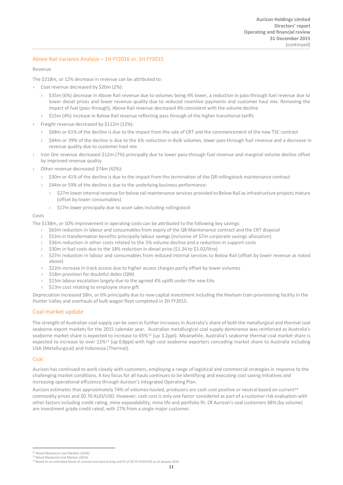## Above Rail Variance Analysis – 1H FY2016 vs. 1H FY2015

#### Revenue

The \$218m, or 12% decrease in revenue can be attributed to:

- › Coal revenue decreased by \$20m (2%):
	- \$35m (6%) decrease in Above Rail revenue due to volumes being 4% lower, a reduction in pass-through fuel revenue due to lower diesel prices and lower revenue quality due to reduced incentive payments and customer haul mix. Removing the impact of fuel (pass through), Above Rail revenue decreased 4% consistent with the volume decline
	- \$15m (4%) increase in Below Rail revenue reflecting pass through of the higher transitional tariffs
- › Freight revenue decreased by \$112m (22%):
	- › \$68m or 61% of the decline is due to the impact from the sale of CRT and the commencement of the new TSC contract
	- › \$44m or 39% of the decline is due to the 6% reduction in Bulk volumes, lower pass-through fuel revenue and a decrease in revenue quality due to customer haul mix
- Iron Ore revenue decreased \$12m (7%) principally due to lower pass-through fuel revenue and marginal volume decline offset by improved revenue quality
- Other revenue decreased \$74m (42%):
	- › \$30m or 41% of the decline is due to the impact from the termination of the QR rollingstock maintenance contract
	- › \$44m or 59% of the decline is due to the underlying business performance:
		- \$27m lower internal revenue for below rail maintenance services provided to Below Rail as infrastructure projects mature (offset by lower consumables)
		- › \$17m lower principally due to asset sales including rollingstock

#### Costs

The \$138m, or 10% improvement in operating costs can be attributed to the following key savings:

- › \$63m reduction in labour and consumables from expiry of the QR Maintenance contract and the CRT disposal
- › \$53m in transformation benefits principally labour savings (inclusive of \$7m corporate savings allocation)
- \$36m reduction in other costs related to the 5% volume decline and a reduction in support costs
- \$30m in fuel costs due to the 18% reduction in diesel price (\$1.24 to \$1.02/litre)
- \$27m reduction in labour and consumables from reduced internal services to Below Rail (offset by lower revenue as noted above)
- › \$22m increase in track access due to higher access charges partly offset by lower volumes
- › \$18m provision for doubtful debts (QNI)
- › \$15m labour escalation largely due to the agreed 4% uplift under the new EAs
- › \$13m cost relating to employee share gift

Depreciation increased \$8m, or 6% principally due to new capital investment including the Hexham train provisioning facility in the Hunter Valley and overhauls of bulk wagon fleet completed in 2H FY2015.

## Coal market update

The strength of Australian coal supply can be seen in further increases in Australia's share of both the metallurgical and thermal coal seaborne export markets for the 2015 calendar year. Australian metallurgical coal supply dominance was reinforced as Australia's seaborne market share is expected to increase to 65%<sup>[12](#page-11-0)</sup> (up 3.2ppt). Meanwhile, Australia's seaborne thermal coal market share is expected to increase to over 22[%](#page-11-1)<sup>13</sup> (up 0.8ppt) with high cost seaborne exporters conceding market share to Australia including USA (Metallurgical) and Indonesia (Thermal).

## Coal

Aurizon has continued to work closely with customers, employing a range of logistical and commercial strategies in response to the challenging market conditions. A key focus for all hauls continues to be identifying and executing cost saving initiatives and increasing operational efficiency through Aurizon's Integrated Operating Plan.

A[ur](#page-11-2)izon estimates that approximately 74% of volumes hauled, producers are cash cost positive or neutral based on current<sup>14</sup> commodity prices and \$0.70 AUD/USD. However, cash cost is only one factor considered as part of a customer risk evaluation with other factors including credit rating, mine expandability, mine life and portfolio fit. Of Aurizon's coal customers 68% (by volume) are investment grade credit rated, with 27% from a single major customer.

<span id="page-11-0"></span><sup>12</sup> Wood Mackenzie Coal Markets (2016) <sup>13</sup> Wood Mackenzie Coal Markets (2016)

<span id="page-11-2"></span><span id="page-11-1"></span><sup>14</sup> Based on an estimated blend of contract and spot pricing and FX of \$0.70 AUD/USD as of January 2016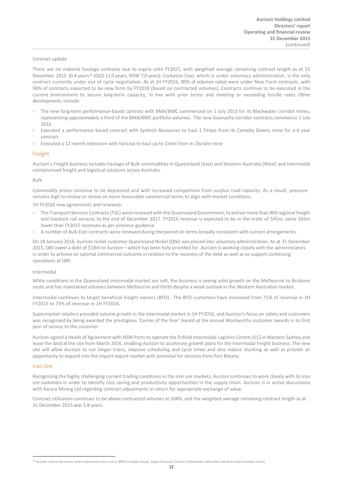#### Contract update

There are no material haulage contracts due to expire until FY2021, with weighted average remaining contract length as at 31 December 20[15](#page-12-0) 10.4 years<sup>15</sup> (QLD 11.0 years, NSW 7.0 years). Cockatoo Coal, which is under voluntary administration, is the only contract currently under out of cycle negotiation. As at 1H FY2016, 80% of volumes railed were under New Form contracts, with 96% of contracts expected to be new form by FY2018 (based on contracted volumes). Contracts continue to be executed in the current environment to secure long-term capacity, in line with prior terms and meeting or exceeding hurdle rates. Other developments include:

- The new long-term performance-based contract with BMA/BMC commenced on 1 July 2015 for its Blackwater corridor mines, representing approximately a third of the BMA/BMC portfolio volumes. The new Goonyella corridor contracts commence 1 July 2016
- Executed a performance based contract with Syntech Resources to haul 1.7mtpa from its Cameby Downs mine for a 4 year contract
- Executed a 12 month extension with Yancoal to haul up to 2.6mt from its Duralie mine

### Freight

Aurizon's Freight business includes haulage of Bulk commodities in Queensland (East) and Western Australia (West) and Intermodal containerised freight and logistical solutions across Australia.

#### Bulk

Commodity prices continue to be depressed and with increased competition from surplus road capacity. As a result, pressure remains high to review or renew on more favourable commercial terms to align with market conditions.

1H FY2016 new agreements and renewals:

- › The Transport Services Contracts (TSC) were renewed with the Queensland Government, to deliver more than 900 regional freight and livestock rail services to the end of December 2017. FY2016 revenue is expected to be in the order of \$45m, some \$65m lower than FY2015 revenues as per previous guidance
- A number of Bulk East contracts were renewed during the period on terms broadly consistent with current arrangements

On 18 January 2016, Aurizon nickel customer Queensland Nickel (QNI) was placed into voluntary administration. As at 31 December 2015, QNI owed a debt of \$18m to Aurizon – which has been fully provided for. Aurizon is working closely with the administrators in order to achieve an optimal commercial outcome in relation to the recovery of the debt as well as to support continuing operations at QNI.

#### Intermodal

While conditions in the Queensland Intermodal market are soft, the business is seeing solid growth on the Melbourne to Brisbane route and has maintained volumes between Melbourne and Perth despite a weak outlook in the Western Australian market.

Intermodal continues to target beneficial freight owners (BFO). The BFO customers have increased from 71% of revenue in 1H FY2015 to 73% of revenue in 1H FY2016.

Supermarket retailers provided volume growth in the intermodal market in 1H FY2016, and Aurizon's focus on safety and customers was recognised by being awarded the prestigious 'Carrier of the Year' Award at the annual Woolworths customer awards in its first year of service to the customer.

Aurizon signed a Heads of Agreement with NSW Ports to operate the Enfield Intermodal Logistics Centre (ILC) in Western Sydney and lease the land at the site from March 2016, enabling Aurizon to accelerate growth plans for the intermodal freight business. The new site will allow Aurizon to run longer trains, improve scheduling and cycle times and also reduce shunting as well as provide an opportunity to expand into the import-export market with potential for services from Port Botany.

### Iron Ore

Recognising the highly challenging current trading conditions in the iron ore markets, Aurizon continues to work closely with its iron ore customers in order to identify cost saving and productivity opportunities in the supply chain. Aurizon is in active discussions with Karara Mining Ltd regarding contract adjustments in return for appropriate exchange of value.

Contract utilisation continues to be above contracted volumes at 104%, and the weighted average remaining contract length as at 31 December 2015 was 5.8 years.

<span id="page-12-0"></span><sup>15</sup> Includes contracted tonnes where extensions exist such as BMA (multiple mines), Anglo (Dawson), Glencore (Newlands Collinsville) and New Hope (multiple mines)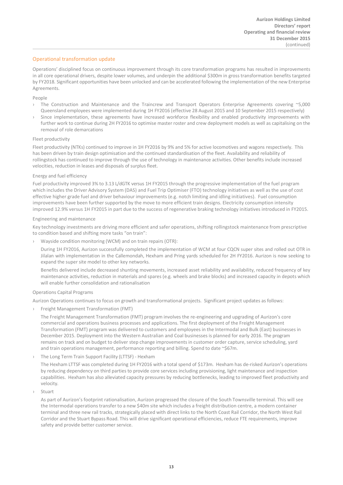## Operational transformation update

Operations' disciplined focus on continuous improvement through its core transformation programs has resulted in improvements in all core operational drivers, despite lower volumes, and underpin the additional \$300m in gross transformation benefits targeted by FY2018. Significant opportunities have been unlocked and can be accelerated following the implementation of the new Enterprise Agreements.

## People

- › The Construction and Maintenance and the Traincrew and Transport Operators Enterprise Agreements covering ~5,000 Queensland employees were implemented during 1H FY2016 (effective 28 August 2015 and 10 September 2015 respectively)
- › Since implementation, these agreements have increased workforce flexibility and enabled productivity improvements with further work to continue during 2H FY2016 to optimise master roster and crew deployment models as well as capitalising on the removal of role demarcations

#### Fleet productivity

Fleet productivity (NTKs) continued to improve in 1H FY2016 by 9% and 5% for active locomotives and wagons respectively. This has been driven by train design optimisation and the continued standardisation of the fleet. Availability and reliability of rollingstock has continued to improve through the use of technology in maintenance activities. Other benefits include increased velocities, reduction in leases and disposals of surplus fleet.

#### Energy and fuel efficiency

Fuel productivity improved 3% to 3.13 L/dGTK versus 1H FY2015 through the progressive implementation of the fuel program which includes the Driver Advisory System (DAS) and Fuel Trip Optimiser (FTO) technology initiatives as well as the use of cost effective higher grade fuel and driver behaviour improvements (e.g. notch limiting and idling initiatives). Fuel consumption improvements have been further supported by the move to more efficient train designs. Electricity consumption intensity improved 12.9% versus 1H FY2015 in part due to the success of regenerative braking technology initiatives introduced in FY2015.

#### Engineering and maintenance

Key technology investments are driving more efficient and safer operations, shifting rollingstock maintenance from prescriptive to condition based and shifting more tasks "on train":

› Wayside condition monitoring (WCM) and on train repairs (OTR):

During 1H FY2016, Aurizon successfully completed the implementation of WCM at four CQCN super sites and rolled out OTR in Jilalan with implementation in the Callemondah, Hexham and Pring yards scheduled for 2H FY2016. Aurizon is now seeking to expand the super site model to other key networks.

Benefits delivered include decreased shunting movements, increased asset reliability and availability, reduced frequency of key maintenance activities, reduction in materials and spares (e.g. wheels and brake blocks) and increased capacity in depots which will enable further consolidation and rationalisation

### Operations Capital Programs

Aurizon Operations continues to focus on growth and transformational projects. Significant project updates as follows:

› Freight Management Transformation (FMT)

The Freight Management Transformation (FMT) program involves the re-engineering and upgrading of Aurizon's core commercial and operations business processes and applications. The first deployment of the Freight Management Transformation (FMT) program was delivered to customers and employees in the Intermodal and Bulk (East) businesses in December 2015. Deployment into the Western Australian and Coal businesses is planned for early 2016. The program remains on track and on budget to deliver step change improvements in customer order capture, service scheduling, yard and train operations management, performance reporting and billing. Spend to date ~\$67m.

The Long Term Train Support Facility (LTTSF) - Hexham

The Hexham LTTSF was completed during 1H FY2016 with a total spend of \$173m. Hexham has de-risked Aurizon's operations by reducing dependency on third parties to provide core services including provisioning, light maintenance and inspection capabilities. Hexham has also alleviated capacity pressures by reducing bottlenecks, leading to improved fleet productivity and velocity.

**Stuart** 

As part of Aurizon's footprint rationalisation, Aurizon progressed the closure of the South Townsville terminal. This will see the Intermodal operations transfer to a new \$40m site which includes a freight distribution centre, a modern container terminal and three new rail tracks, strategically placed with direct links to the North Coast Rail Corridor, the North West Rail Corridor and the Stuart Bypass Road. This will drive significant operational efficiencies, reduce FTE requirements, improve safety and provide better customer service.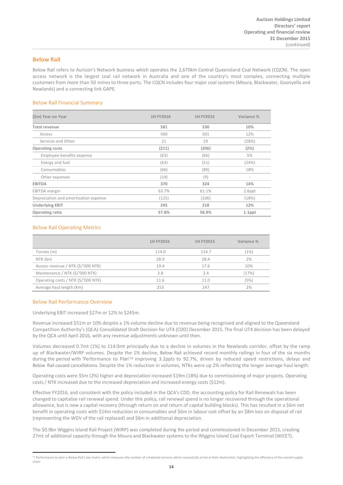## **Below Rail**

Below Rail refers to Aurizon's Network business which operates the 2,670km Central Queensland Coal Network (CQCN). The open access network is the largest coal rail network in Australia and one of the country's most complex, connecting multiple customers from more than 50 mines to three ports. The CQCN includes four major coal systems (Moura, Blackwater, Goonyella and Newlands) and a connecting link GAPE.

## Below Rail Financial Summary

| (\$m) Year on Year                    | 1H FY2016 | 1H FY2015 | Variance % |
|---------------------------------------|-----------|-----------|------------|
| <b>Total revenue</b>                  | 581       | 530       | 10%        |
| Access                                | 560       | 501       | 12%        |
| Services and Other                    | 21        | 29        | (28%)      |
| <b>Operating costs</b>                | (211)     | (206)     | (2%)       |
| Employee benefits expense             | (63)      | (66)      | 5%         |
| Energy and fuel                       | (63)      | (51)      | (24%)      |
| Consumables                           | (66)      | (80)      | 18%        |
| Other expenses                        | (19)      | (9)       | ٠          |
| <b>EBITDA</b>                         | 370       | 324       | 14%        |
| <b>EBITDA</b> margin                  | 63.7%     | 61.1%     | 2.6ppt     |
| Depreciation and amortisation expense | (125)     | (106)     | (18%)      |
| <b>Underlying EBIT</b>                | 245       | 218       | 12%        |
| Operating ratio                       | 57.8%     | 58.9%     | $1.1$ ppt  |

## Below Rail Operating Metrics

|                                     | 1H FY2016 | 1H FY2015 | Variance % |
|-------------------------------------|-----------|-----------|------------|
| Tonnes (m)                          | 114.0     | 114.7     | (1%)       |
| NTK (bn)                            | 28.9      | 28.4      | 2%         |
| Access revenue / NTK (\$/'000 NTK)  | 19.4      | 17.6      | 10%        |
| Maintenance / NTK (\$/'000 NTK)     | 2.8       | 2.4       | (17%)      |
| Operating costs / NTK (\$/'000 NTK) | 11.6      | 11.0      | (5%)       |
| Average haul length (Km)            | 253       | 247       | 2%         |

### Below Rail Performance Overview

Underlying EBIT increased \$27m or 12% to \$245m.

Revenue increased \$51m or 10% despite a 1% volume decline due to revenue being recognised and aligned to the Queensland Competition Authority's (QCA) Consolidated Draft Decision for UT4 (CDD) December 2015. The final UT4 decision has been delayed by the QCA until April 2016, with any revenue adjustments unknown until then.

Volumes decreased 0.7mt (1%) to 114.0mt principally due to a decline in volumes in the Newlands corridor, offset by the ramp up of Blackwater/WIRP volumes. Despite the 1% decline, Below Rail achieved record monthly railings in four of the six months during the period with 'Perf[or](#page-14-0)mance to Plan'<sup>16</sup> improving 3.2ppts to 92.7%, driven by reduced speed restrictions, delays and Below Rail caused cancellations. Despite the 1% reduction in volumes, NTKs were up 2% reflecting the longer average haul length.

Operating costs were \$5m (2%) higher and depreciation increased \$19m (18%) due to commissioning of major projects. Operating costs / NTK increased due to the increased depreciation and increased energy costs (\$12m).

Effective FY2016, and consistent with the policy included in the QCA's CDD, the accounting policy for Rail Renewals has been changed to capitalise rail renewal spend. Under this policy, rail renewal spend is no longer recovered through the operational allowance, but is now a capital recovery (through return on and return of capital building blocks). This has resulted in a \$6m net benefit in operating costs with \$14m reduction in consumables and \$6m in labour cost offset by an \$8m loss on disposal of rail (representing the WDV of the rail replaced) and \$6m in additional depreciation.

The \$0.9bn Wiggins Island Rail Project (WIRP) was completed during the period and commissioned in December 2015, creating 27mt of additional capacity through the Moura and Blackwater systems to the Wiggins Island Coal Export Terminal (WICET).

<span id="page-14-0"></span><sup>&</sup>lt;sup>16</sup> Performance to plan is Below Rail's key metric which measures the number of scheduled services which successfully arrive at their destination, highlighting the efficiency of the overall supply chain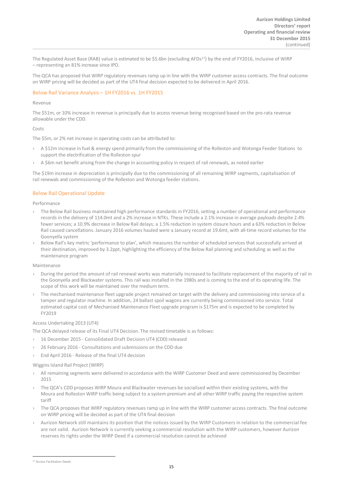The Regulated Asset Base (RAB) value is estimated to be \$5.6bn (excluding AFDs<sup>[17](#page-15-0)</sup>) by the end of FY2016, inclusive of WIRP – representing an 81% increase since IPO.

The QCA has proposed that WIRP regulatory revenues ramp up in line with the WIRP customer access contracts. The final outcome on WIRP pricing will be decided as part of the UT4 final decision expected to be delivered in April 2016.

## Below Rail Variance Analysis – 1H FY2016 vs. 1H FY2015

### Revenue

The \$51m, or 10% increase in revenue is principally due to access revenue being recognised based on the pro-rata revenue allowable under the CDD.

### Costs

The \$5m, or 2% net increase in operating costs can be attributed to:

- A \$12m increase in fuel & energy spend primarily from the commissioning of the Rolleston and Wotonga Feeder Stations to support the electrification of the Rolleston spur
- A \$6m net benefit arising from the change in accounting policy in respect of rail renewals, as noted earlier

The \$19m increase in depreciation is principally due to the commissioning of all remaining WIRP segments, capitalisation of rail renewals and commissioning of the Rolleston and Wotonga feeder stations.

### Below Rail Operational Update

Performance

- The Below Rail business maintained high performance standards in FY2016, setting a number of operational and performance records in the delivery of 114.0mt and a 2% increase in NTKs. These include a 2.1% increase in average payloads despite 2.4% fewer services; a 10.9% decrease in Below Rail delays; a 1.5% reduction in system closure hours and a 63% reduction in Below Rail caused cancellations. January 2016 volumes hauled were a January record at 19.6mt, with all-time record volumes for the Goonyella system
- Below Rail's key metric 'performance to plan', which measures the number of scheduled services that successfully arrived at their destination, improved by 3.2ppt, highlighting the efficiency of the Below Rail planning and scheduling as well as the maintenance program

### Maintenance

- During the period the amount of rail renewal works was materially increased to facilitate replacement of the majority of rail in the Goonyella and Blackwater systems. This rail was installed in the 1980s and is coming to the end of its operating life. The scope of this work will be maintained over the medium term.
- The mechanised maintenance fleet upgrade project remained on target with the delivery and commissioning into service of a tamper and regulator machine. In addition, 24 ballast spoil wagons are currently being commissioned into service. Total estimated capital cost of Mechanised Maintenance Fleet upgrade program is \$175m and is expected to be completed by FY2019

### Access Undertaking 2013 (UT4)

The QCA delayed release of its Final UT4 Decision. The revised timetable is as follows:

- › 16 December 2015 Consolidated Draft Decision UT4 (CDD) released
- › 26 February 2016 Consultations and submissions on the CDD due
- End April 2016 Release of the final UT4 decision

#### Wiggins Island Rail Project (WIRP)

- All remaining segments were delivered in accordance with the WIRP Customer Deed and were commissioned by December 2015
- The QCA's CDD proposes WIRP Moura and Blackwater revenues be socialised within their existing systems, with the Moura and Rolleston WIRP traffic being subject to a system premium and all other WIRP traffic paying the respective system tariff
- › The QCA proposes that WIRP regulatory revenues ramp up in line with the WIRP customer access contracts. The final outcome on WIRP pricing will be decided as part of the UT4 final decision
- Aurizon Network still maintains its position that the notices issued by the WIRP Customers in relation to the commercial fee are not valid. Aurizon Network is currently seeking a commercial resolution with the WIRP customers, however Aurizon reserves its rights under the WIRP Deed if a commercial resolution cannot be achieved

<span id="page-15-0"></span><sup>17</sup> Access Facilitation Deeds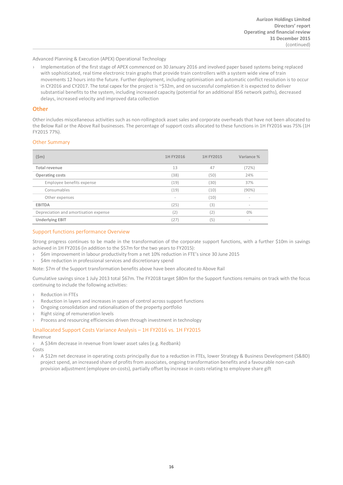Advanced Planning & Execution (APEX) Operational Technology

› Implementation of the first stage of APEX commenced on 30 January 2016 and involved paper based systems being replaced with sophisticated, real time electronic train graphs that provide train controllers with a system wide view of train movements 12 hours into the future. Further deployment, including optimisation and automatic conflict resolution is to occur in CY2016 and CY2017. The total capex for the project is ~\$32m, and on successful completion it is expected to deliver substantial benefits to the system, including increased capacity (potential for an additional 856 network paths), decreased delays, increased velocity and improved data collection

## **Other**

Other includes miscellaneous activities such as non-rollingstock asset sales and corporate overheads that have not been allocated to the Below Rail or the Above Rail businesses. The percentage of support costs allocated to these functions in 1H FY2016 was 75% (1H FY2015 77%).

## Other Summary

| $(\$m)$                               | 1H FY2016                | 1H FY2015 | Variance %               |
|---------------------------------------|--------------------------|-----------|--------------------------|
| Total revenue                         | 13                       | 47        | (72%)                    |
| <b>Operating costs</b>                | (38)                     | (50)      | 24%                      |
| Employee benefits expense             | (19)                     | (30)      | 37%                      |
| Consumables                           | (19)                     | (10)      | (90%)                    |
| Other expenses                        | $\overline{\phantom{a}}$ | (10)      | $\overline{\phantom{a}}$ |
| <b>EBITDA</b>                         | (25)                     | (3)       | $\overline{\phantom{a}}$ |
| Depreciation and amortisation expense | (2)                      | (2)       | 0%                       |
| <b>Underlying EBIT</b>                | (27)                     | (5)       |                          |

## Support functions performance Overview

Strong progress continues to be made in the transformation of the corporate support functions, with a further \$10m in savings achieved in 1H FY2016 (in addition to the \$57m for the two years to FY2015):

- › \$6m improvement in labour productivity from a net 10% reduction in FTE's since 30 June 2015
- \$4m reduction in professional services and discretionary spend

Note: \$7m of the Support transformation benefits above have been allocated to Above Rail

Cumulative savings since 1 July 2013 total \$67m. The FY2018 target \$80m for the Support functions remains on track with the focus continuing to include the following activities:

- › Reduction in FTEs
- › Reduction in layers and increases in spans of control across support functions
- › Ongoing consolidation and rationalisation of the property portfolio
- Right sizing of remuneration levels
- › Process and resourcing efficiencies driven through investment in technology

## Unallocated Support Costs Variance Analysis – 1H FY2016 vs. 1H FY2015

Revenue

› A \$34m decrease in revenue from lower asset sales (e.g. Redbank) Costs

› A \$12m net decrease in operating costs principally due to a reduction in FTEs, lower Strategy & Business Development (S&BD) project spend, an increased share of profits from associates, ongoing transformation benefits and a favourable non-cash provision adjustment (employee on-costs), partially offset by increase in costs relating to employee share gift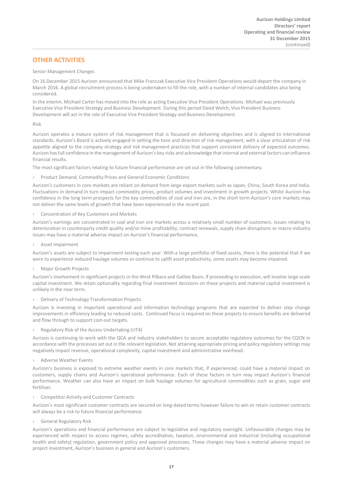## **OTHER ACTIVITIES**

## Senior Management Changes

On 16 December 2015 Aurizon announced that Mike Franczak Executive Vice President Operations would depart the company in March 2016. A global recruitment process is being undertaken to fill the role, with a number of internal candidates also being considered.

In the interim, Michael Carter has moved into the role as acting Executive Vice President Operations. Michael was previously Executive Vice President Strategy and Business Development. During this period David Welch, Vice President Business Development will act in the role of Executive Vice President Strategy and Business Development.

Risk

Aurizon operates a mature system of risk management that is focussed on delivering objectives and is aligned to international standards. Aurizon's Board is actively engaged in setting the tone and direction of risk management, with a clear articulation of risk appetite aligned to the company strategy and risk management practices that support consistent delivery of expected outcomes. Aurizon has full confidence in the management of Aurizon's key risks and acknowledge that internal and external factors can influence financial results.

The most significant factors relating to future financial performance are set out in the following commentary.

› Product Demand, Commodity Prices and General Economic Conditions

Aurizon's customers in core markets are reliant on demand from large export markets such as Japan, China, South Korea and India. Fluctuations in demand in turn impact commodity prices, product volumes and investment in growth projects. Whilst Aurizon has confidence in the long term prospects for the key commodities of coal and iron ore, in the short term Aurizon's core markets may not deliver the same levels of growth that have been experienced in the recent past.

› Concentration of Key Customers and Markets

Aurizon's earnings are concentrated in coal and iron ore markets across a relatively small number of customers. Issues relating to deterioration in counterparty credit quality and/or mine profitability, contract renewals, supply chain disruptions or macro-industry issues may have a material adverse impact on Aurizon's financial performance.

› Asset Impairment

Aurizon's assets are subject to impairment testing each year. With a large portfolio of fixed assets, there is the potential that if we were to experience reduced haulage volumes or continue to uplift asset productivity, some assets may become impaired.

› Major Growth Projects

Aurizon's involvement in significant projects in the West Pilbara and Galilee Basin, if proceeding to execution, will involve large-scale capital investment. We retain optionality regarding final investment decisions on these projects and material capital investment is unlikely in the near term.

› Delivery of Technology Transformation Projects

Aurizon is investing in important operational and information technology programs that are expected to deliver step change improvements in efficiency leading to reduced costs. Continued focus is required on these projects to ensure benefits are delivered and flow through to support cost-out targets.

› Regulatory Risk of the Access Undertaking (UT4)

Aurizon is continuing to work with the QCA and industry stakeholders to secure acceptable regulatory outcomes for the CQCN in accordance with the processes set out in the relevant legislation. Not attaining appropriate pricing and policy regulatory settings may negatively impact revenue, operational complexity, capital investment and administrative overhead.

› Adverse Weather Events

Aurizon's business is exposed to extreme weather events in core markets that, if experienced, could have a material impact on customers, supply chains and Aurizon's operational performance. Each of these factors in turn may impact Aurizon's financial performance. Weather can also have an impact on bulk haulage volumes for agricultural commodities such as grain, sugar and fertiliser.

› Competitor Activity and Customer Contracts

Aurizon's most significant customer contracts are secured on long-dated terms however failure to win or retain customer contracts will always be a risk to future financial performance.

› General Regulatory Risk

Aurizon's operations and financial performance are subject to legislative and regulatory oversight. Unfavourable changes may be experienced with respect to access regimes, safety accreditation, taxation, environmental and industrial (including occupational health and safety) regulation, government policy and approval processes. These changes may have a material adverse impact on project investment, Aurizon's business in general and Aurizon's customers.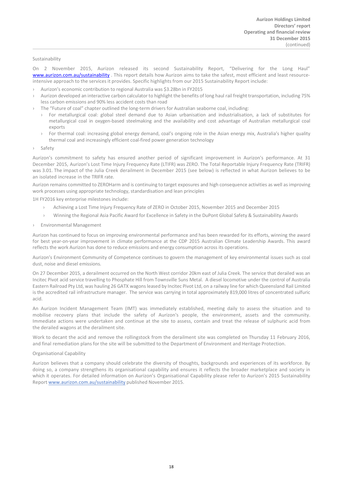#### Sustainability

On 2 November 2015, Aurizon released its second Sustainability Report, "Delivering for the Long Haul" [www.aurizon.com.au/sustainability](http://www.aurizon.com.au/sustainability). This report details how Aurizon aims to take the safest, most efficient and least resourceintensive approach to the services it provides. Specific highlights from our 2015 Sustainability Report include:

- › Aurizon's economic contribution to regional Australia was \$3.28bn in FY2015
- › Aurizon developed an interactive carbon calculator to highlight the benefits of long haul rail freight transportation, including 75% less carbon emissions and 90% less accident costs than road
- The "Future of coal" chapter outlined the long-term drivers for Australian seaborne coal, including:
	- For metallurgical coal: global steel demand due to Asian urbanisation and industrialisation, a lack of substitutes for metallurgical coal in oxygen-based steelmaking and the availability and cost advantage of Australian metallurgical coal exports
	- › For thermal coal: increasing global energy demand, coal's ongoing role in the Asian energy mix, Australia's higher quality thermal coal and increasingly efficient coal-fired power generation technology
- **Safety**

Aurizon's commitment to safety has ensured another period of significant improvement in Aurizon's performance. At 31 December 2015, Aurizon's Lost Time Injury Frequency Rate (LTIFR) was ZERO. The Total Reportable Injury Frequency Rate (TRIFR) was 3.01. The impact of the Julia Creek derailment in December 2015 (see below) is reflected in what Aurizon believes to be an isolated increase in the TRIFR rate.

Aurizon remains committed to ZEROHarm and is continuing to target exposures and high consequence activities as well as improving work processes using appropriate technology, standardisation and lean principles

1H FY2016 key enterprise milestones include:

- Achieving a Lost Time Injury Frequency Rate of ZERO in October 2015, November 2015 and December 2015
- › Winning the Regional Asia Pacific Award for Excellence in Safety in the DuPont Global Safety & Sustainability Awards
- › Environmental Management

Aurizon has continued to focus on improving environmental performance and has been rewarded for its efforts, winning the award for best year-on-year improvement in climate performance at the CDP 2015 Australian Climate Leadership Awards. This award reflects the work Aurizon has done to reduce emissions and energy consumption across its operations.

Aurizon's Environment Community of Competence continues to govern the management of key environmental issues such as coal dust, noise and diesel emissions.

On 27 December 2015, a derailment occurred on the North West corridor 20km east of Julia Creek. The service that derailed was an Incitec Pivot acid service travelling to Phosphate Hill from Townsville Suns Metal. A diesel locomotive under the control of Australia Eastern Railroad Pty Ltd, was hauling 26 GATX wagons leased by Incitec Pivot Ltd, on a railway line for which Queensland Rail Limited is the accredited rail infrastructure manager. The service was carrying in total approximately 819,000 litres of concentrated sulfuric acid.

An Aurizon Incident Management Team (IMT) was immediately established, meeting daily to assess the situation and to mobilise recovery plans that include the safety of Aurizon's people, the environment, assets and the community. Immediate actions were undertaken and continue at the site to assess, contain and treat the release of sulphuric acid from the derailed wagons at the derailment site.

Work to decant the acid and remove the rollingstock from the derailment site was completed on Thursday 11 February 2016, and final remediation plans for the site will be submitted to the Department of Environment and Heritage Protection.

#### Organisational Capability

Aurizon believes that a company should celebrate the diversity of thoughts, backgrounds and experiences of its workforce. By doing so, a company strengthens its organisational capability and ensures it reflects the broader marketplace and society in which it operates. For detailed information on Aurizon's Organisational Capability please refer to Aurizon's 2015 Sustainability Report [www.aurizon.com.au/sustai](http://www.aurizon.com.au/sustainability)nability published November 2015.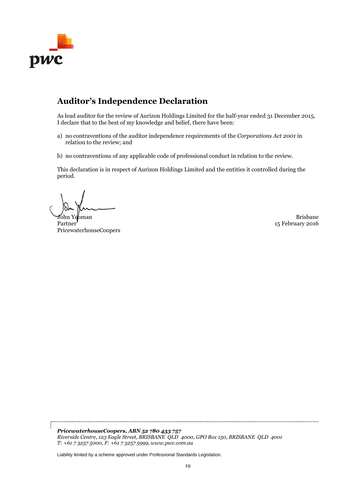

# **Auditor's Independence Declaration**

As lead auditor for the review of Aurizon Holdings Limited for the half-year ended 31 December 2015, I declare that to the best of my knowledge and belief, there have been:

- a) no contraventions of the auditor independence requirements of the *Corporations Act 2001* in relation to the review; and
- b) no contraventions of any applicable code of professional conduct in relation to the review.

This declaration is in respect of Aurizon Holdings Limited and the entities it controlled during the period.

John Yebman Brisbane Barat and the Second Library of the Second Library of the Brisbane Brisbane

Partner PricewaterhouseCoopers

15 February 2016

*PricewaterhouseCoopers, ABN 52 780 433 757 Riverside Centre, 123 Eagle Street, BRISBANE QLD 4000, GPO Box 150, BRISBANE QLD 4001 T: +61 7 3257 5000, F: +61 7 3257 5999, www.pwc.com.au*

Liability limited by a scheme approved under Professional Standards Legislation.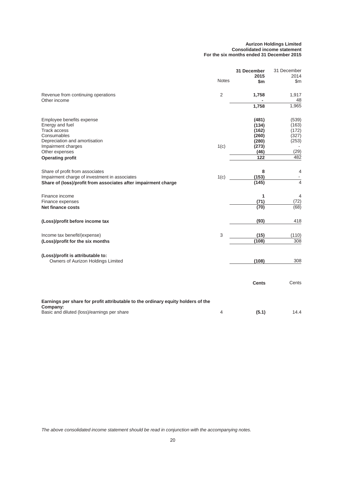#### **Aurizon Holdings Limited Consolidated income statement For the six months ended 31 December 2015**

|                                                                                                                                                    |              | 31 December<br>2015                                | 31 December<br>2014                       |
|----------------------------------------------------------------------------------------------------------------------------------------------------|--------------|----------------------------------------------------|-------------------------------------------|
|                                                                                                                                                    | <b>Notes</b> | \$m                                                | \$m                                       |
| Revenue from continuing operations<br>Other income                                                                                                 | 2            | 1,758                                              | 1,917<br>48                               |
|                                                                                                                                                    |              | 1,758                                              | 1,965                                     |
| Employee benefits expense<br>Energy and fuel<br><b>Track access</b><br>Consumables<br>Depreciation and amortisation<br>Impairment charges          | 1(c)         | (481)<br>(134)<br>(162)<br>(260)<br>(280)<br>(273) | (539)<br>(163)<br>(172)<br>(327)<br>(253) |
| Other expenses                                                                                                                                     |              | (46)                                               | (29)                                      |
| <b>Operating profit</b>                                                                                                                            |              | 122                                                | 482                                       |
| Share of profit from associates<br>Impairment charge of investment in associates<br>Share of (loss)/profit from associates after impairment charge | 1(c)         | 8<br>(153)<br>(145)                                | 4<br>$\overline{4}$                       |
| Finance income<br>Finance expenses<br><b>Net finance costs</b>                                                                                     |              | 1<br>(71)<br>(70)                                  | 4<br>(72)<br>(68)                         |
| (Loss)/profit before income tax                                                                                                                    |              | (93)                                               | 418                                       |
| Income tax benefit/(expense)<br>(Loss)/profit for the six months                                                                                   | 3            | (15)<br>(108)                                      | (110)<br>308                              |
| (Loss)/profit is attributable to:<br>Owners of Aurizon Holdings Limited                                                                            |              | (108)                                              | 308                                       |
|                                                                                                                                                    |              | <b>Cents</b>                                       | Cents                                     |
| Earnings per share for profit attributable to the ordinary equity holders of the                                                                   |              |                                                    |                                           |
| Company:<br>Basic and diluted (loss)/earnings per share                                                                                            | 4            | (5.1)                                              | 14.4                                      |

*The above consolidated income statement should be read in conjunction with the accompanying notes.*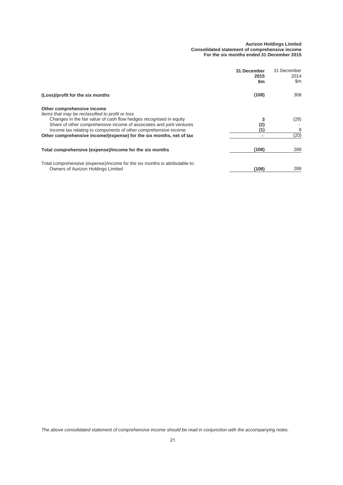#### **Aurizon Holdings Limited Consolidated statement of comprehensive income For the six months ended 31 December 2015**

|                                                                                                                        | 31 December<br>2015<br>\$m | 31 December<br>2014<br>\$m |
|------------------------------------------------------------------------------------------------------------------------|----------------------------|----------------------------|
| (Loss)/profit for the six months                                                                                       | (108)                      | 308                        |
| Other comprehensive income                                                                                             |                            |                            |
| Items that may be reclassified to profit or loss<br>Changes in the fair value of cash flow hedges recognised in equity |                            | (28)                       |
| Share of other comprehensive income of associates and joint ventures                                                   |                            |                            |
| Income tax relating to components of other comprehensive income                                                        |                            | 8                          |
| Other comprehensive income/(expense) for the six months, net of tax                                                    |                            | (20)                       |
| Total comprehensive (expense)/income for the six months                                                                | (108)                      | 288                        |
| Total comprehensive (expense)/income for the six months is attributable to:                                            |                            |                            |
| Owners of Aurizon Holdings Limited                                                                                     | (108)                      | 288                        |

*The above consolidated statement of comprehensive income should be read in conjunction with the accompanying notes.*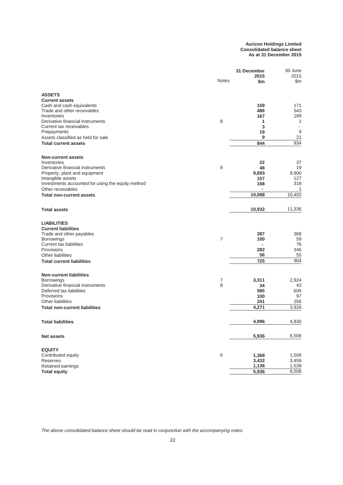**Aurizon Holdings Limited Consolidated balance sheet As at 31 December 2015**

|                                                   |                | 31 December    | 30 June        |  |
|---------------------------------------------------|----------------|----------------|----------------|--|
|                                                   |                | 2015           | 2015           |  |
|                                                   | <b>Notes</b>   | \$m            | \$m            |  |
|                                                   |                |                |                |  |
| <b>ASSETS</b>                                     |                |                |                |  |
| <b>Current assets</b>                             |                |                |                |  |
| Cash and cash equivalents                         |                | 159            | 171            |  |
| Trade and other receivables                       |                | 486            | 543            |  |
| Inventories<br>Derivative financial instruments   | 8              | 167            | 189            |  |
| Current tax receivables                           |                | 1<br>3         | 1<br>$\sim$    |  |
|                                                   |                | 19             | 9              |  |
| Prepayments<br>Assets classified as held for sale |                | 9              | 21             |  |
|                                                   |                |                | 934            |  |
| <b>Total current assets</b>                       |                | 844            |                |  |
| <b>Non-current assets</b>                         |                |                |                |  |
| Inventories                                       |                | 22             | 37             |  |
| Derivative financial instruments                  | 8              | 48             | 19             |  |
| Property, plant and equipment                     |                | 9,693          | 9,900          |  |
| Intangible assets                                 |                | 157            | 127            |  |
| Investments accounted for using the equity method |                | 168            | 318            |  |
| Other receivables                                 |                | $\blacksquare$ | $\overline{1}$ |  |
| <b>Total non-current assets</b>                   |                | 10,088         | 10,402         |  |
|                                                   |                |                |                |  |
| <b>Total assets</b>                               |                | 10,932         | 11,336         |  |
| <b>LIABILITIES</b>                                |                |                |                |  |
| <b>Current liabilities</b>                        |                |                |                |  |
| Trade and other payables                          |                | 287            | 368            |  |
| <b>Borrowings</b>                                 | $\overline{7}$ | 100            | 59             |  |
| Current tax liabilities                           |                | $\overline{a}$ | 76             |  |
| Provisions                                        |                | 282            | 346            |  |
| Other liabilities                                 |                | 56             | 55             |  |
| <b>Total current liabilities</b>                  |                | 725            | 904            |  |
|                                                   |                |                |                |  |
| <b>Non-current liabilities</b>                    |                |                |                |  |
| Borrowings                                        | 7              | 3,311          | 2,924          |  |
| Derivative financial instruments                  | 8              | 34             | 43             |  |
| Deferred tax liabilities                          |                | 585            | 606            |  |
| Provisions                                        |                | 100            | 97             |  |
| Other liabilities                                 |                | 241            | 256            |  |
| <b>Total non-current liabilities</b>              |                | 4,271          | 3.926          |  |
| <b>Total liabilities</b>                          |                | 4,996          | 4,830          |  |
|                                                   |                |                |                |  |
| <b>Net assets</b>                                 |                | 5,936          | 6,506          |  |
|                                                   |                |                |                |  |
| <b>EQUITY</b><br>Contributed equity               | 6              | 1,368          | 1,508          |  |
| Reserves                                          |                | 3,432          | 3,459          |  |
| Retained earnings                                 |                | 1,136          | 1,539          |  |
| <b>Total equity</b>                               |                | 5,936          | 6,506          |  |
|                                                   |                |                |                |  |

*The above consolidated balance sheet should be read in conjunction with the accompanying notes.*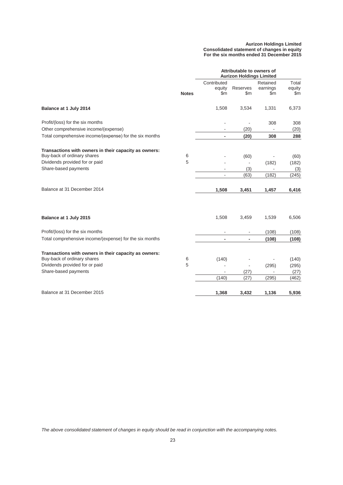#### **Aurizon Holdings Limited Consolidated statement of changes in equity For the six months ended 31 December 2015**

|                                                         |              |                              | Attributable to owners of<br><b>Aurizon Holdings Limited</b> |                                       |                                  |
|---------------------------------------------------------|--------------|------------------------------|--------------------------------------------------------------|---------------------------------------|----------------------------------|
|                                                         | <b>Notes</b> | Contributed<br>equity<br>\$m | Reserves<br>\$m                                              | Retained<br>earnings<br>$\mathsf{Sm}$ | Total<br>equity<br>$\mathsf{Sm}$ |
| Balance at 1 July 2014                                  |              | 1,508                        | 3,534                                                        | 1,331                                 | 6,373                            |
| Profit/(loss) for the six months                        |              | $\overline{\phantom{a}}$     | ÷,                                                           | 308                                   | 308                              |
| Other comprehensive income/(expense)                    |              | $\overline{\phantom{a}}$     | (20)                                                         | $\overline{\phantom{a}}$              | (20)                             |
| Total comprehensive income/(expense) for the six months |              | $\blacksquare$               | (20)                                                         | 308                                   | 288                              |
| Transactions with owners in their capacity as owners:   |              |                              |                                                              |                                       |                                  |
| Buy-back of ordinary shares                             | 6            |                              | (60)                                                         |                                       | (60)                             |
| Dividends provided for or paid                          | 5            |                              | $\overline{a}$                                               | (182)                                 | (182)                            |
| Share-based payments                                    |              | ۰                            | (3)                                                          |                                       | (3)                              |
|                                                         |              | ÷,                           | (63)                                                         | (182)                                 | (245)                            |
| Balance at 31 December 2014                             |              | 1,508                        | 3,451                                                        | 1,457                                 | 6,416                            |
| Balance at 1 July 2015                                  |              | 1,508                        | 3,459                                                        | 1,539                                 | 6,506                            |
| Profit/(loss) for the six months                        |              |                              |                                                              | (108)                                 | (108)                            |
| Total comprehensive income/(expense) for the six months |              | $\overline{\phantom{a}}$     | $\blacksquare$                                               | (108)                                 | (108)                            |
| Transactions with owners in their capacity as owners:   |              |                              |                                                              |                                       |                                  |
| Buy-back of ordinary shares                             | 6            | (140)                        |                                                              |                                       | (140)                            |
| Dividends provided for or paid                          | 5            |                              | ÷,                                                           | (295)                                 | (295)                            |
| Share-based payments                                    |              |                              | (27)                                                         | $\blacksquare$                        | (27)                             |
|                                                         |              | (140)                        | (27)                                                         | (295)                                 | (462)                            |
| Balance at 31 December 2015                             |              | 1,368                        | 3,432                                                        | 1,136                                 | 5,936                            |

*The above consolidated statement of changes in equity should be read in conjunction with the accompanying notes.*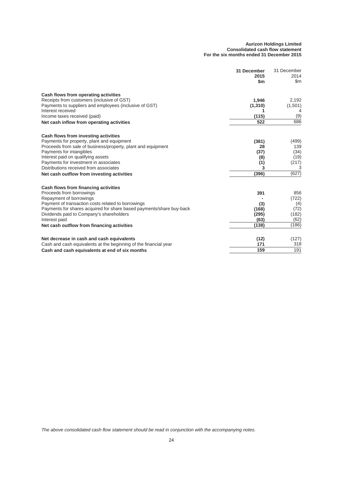#### **Aurizon Holdings Limited Consolidated cash flow statement For the six months ended 31 December 2015**

|                                                                      | 31 December<br>2015<br>\$m | 31 December<br>2014<br>\$m |
|----------------------------------------------------------------------|----------------------------|----------------------------|
| Cash flows from operating activities                                 |                            |                            |
| Receipts from customers (inclusive of GST)                           | 1,946                      | 2,192                      |
| Payments to suppliers and employees (inclusive of GST)               | (1, 310)                   | (1,501)                    |
| Interest received                                                    |                            |                            |
| Income taxes received (paid)                                         | (115)                      | (9)                        |
| Net cash inflow from operating activities                            | 522                        | 686                        |
| Cash flows from investing activities                                 |                            |                            |
| Payments for property, plant and equipment                           | (381)                      | (499)                      |
| Proceeds from sale of business/property, plant and equipment         | 28                         | 139                        |
| Payments for intangibles                                             | (37)                       | (34)                       |
| Interest paid on qualifying assets                                   | (8)                        | (19)                       |
| Payments for investment in associates                                | (1)                        | (217)                      |
| Distributions received from associates                               | 3                          | 3                          |
| Net cash outflow from investing activities                           | (396)                      | (627)                      |
| Cash flows from financing activities                                 |                            |                            |
| Proceeds from borrowings                                             | 391                        | 856                        |
| Repayment of borrowings                                              |                            | (722)                      |
| Payment of transaction costs related to borrowings                   | (3)                        | (4)                        |
| Payments for shares acquired for share based payments/share buy-back | (168)                      | (72)                       |
| Dividends paid to Company's shareholders                             | (295)                      | (182)                      |
| Interest paid                                                        | (63)                       | (62)                       |
| Net cash outflow from financing activities                           | (138)                      | (186)                      |
| Net decrease in cash and cash equivalents                            | (12)                       | (127)                      |
| Cash and cash equivalents at the beginning of the financial year     | 171                        | 318                        |
| Cash and cash equivalents at end of six months                       | 159                        | 191                        |

*The above consolidated cash flow statement should be read in conjunction with the accompanying notes.*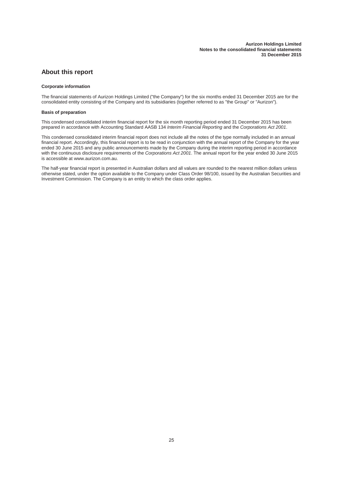## **About this report**

#### **Corporate information**

The financial statements of Aurizon Holdings Limited ("the Company") for the six months ended 31 December 2015 are for the consolidated entity consisting of the Company and its subsidiaries (together referred to as "the Group" or "Aurizon").

#### **Basis of preparation**

This condensed consolidated interim financial report for the six month reporting period ended 31 December 2015 has been prepared in accordance with Accounting Standard AASB 134 *Interim Financial Reporting* and the *Corporations Act 2001*.

This condensed consolidated interim financial report does not include all the notes of the type normally included in an annual financial report. Accordingly, this financial report is to be read in conjunction with the annual report of the Company for the year ended 30 June 2015 and any public announcements made by the Company during the interim reporting period in accordance with the continuous disclosure requirements of the *Corporations Act 2001*. The annual report for the year ended 30 June 2015 is accessible at www.aurizon.com.au.

The half-year financial report is presented in Australian dollars and all values are rounded to the nearest million dollars unless otherwise stated, under the option available to the Company under Class Order 98/100, issued by the Australian Securities and Investment Commission. The Company is an entity to which the class order applies.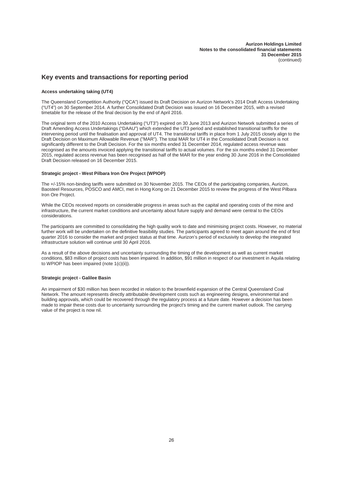## **Key events and transactions for reporting period**

#### **Access undertaking taking (UT4)**

The Queensland Competition Authority ("QCA") issued its Draft Decision on Aurizon Network's 2014 Draft Access Undertaking ("UT4") on 30 September 2014. A further Consolidated Draft Decision was issued on 16 December 2015, with a revised timetable for the release of the final decision by the end of April 2016.

The original term of the 2010 Access Undertaking ("UT3") expired on 30 June 2013 and Aurizon Network submitted a series of Draft Amending Access Undertakings ("DAAU") which extended the UT3 period and established transitional tariffs for the intervening period until the finalisation and approval of UT4. The transitional tariffs in place from 1 July 2015 closely align to the Draft Decision on Maximum Allowable Revenue ("MAR"). The total MAR for UT4 in the Consolidated Draft Decision is not significantly different to the Draft Decision. For the six months ended 31 December 2014, regulated access revenue was recognised as the amounts invoiced applying the transitional tariffs to actual volumes. For the six months ended 31 December 2015, regulated access revenue has been recognised as half of the MAR for the year ending 30 June 2016 in the Consolidated Draft Decision released on 16 December 2015.

#### **Strategic project - West Pilbara Iron Ore Project (WPIOP)**

The +/-15% non-binding tariffs were submitted on 30 November 2015. The CEOs of the participating companies, Aurizon, Baosteel Resources, POSCO and AMCI, met in Hong Kong on 21 December 2015 to review the progress of the West Pilbara Iron Ore Project.

While the CEOs received reports on considerable progress in areas such as the capital and operating costs of the mine and infrastructure, the current market conditions and uncertainty about future supply and demand were central to the CEOs considerations.

The participants are committed to consolidating the high quality work to date and minimising project costs. However, no material further work will be undertaken on the definitive feasibility studies. The participants agreed to meet again around the end of first quarter 2016 to consider the market and project status at that time. Aurizon's period of exclusivity to develop the integrated infrastructure solution will continue until 30 April 2016.

As a result of the above decisions and uncertainty surrounding the timing of the development as well as current market conditions, \$83 million of project costs has been impaired. In addition, \$91 million in respect of our investment in Aquila relating to WPIOP has been impaired (note 1(c)(ii)).

#### **Strategic project - Galilee Basin**

An impairment of \$30 million has been recorded in relation to the brownfield expansion of the Central Queensland Coal Network. The amount represents directly attributable development costs such as engineering designs, environmental and building approvals, which could be recovered through the regulatory process at a future date. However a decision has been made to impair these costs due to uncertainty surrounding the project's timing and the current market outlook. The carrying value of the project is now nil.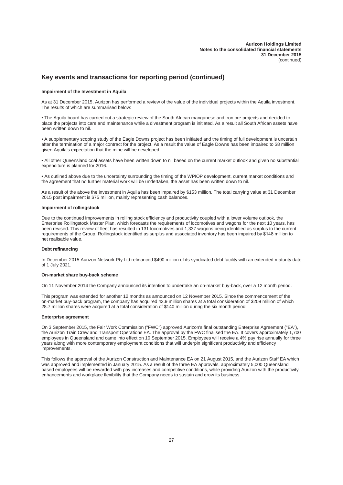## **Key events and transactions for reporting period (continued)**

#### **Impairment of the Investment in Aquila**

As at 31 December 2015, Aurizon has performed a review of the value of the individual projects within the Aquila investment. The results of which are summarised below:

• The Aquila board has carried out a strategic review of the South African manganese and iron ore projects and decided to place the projects into care and maintenance while a divestment program is initiated. As a result all South African assets have been written down to nil.

• A supplementary scoping study of the Eagle Downs project has been initiated and the timing of full development is uncertain after the termination of a major contract for the project. As a result the value of Eagle Downs has been impaired to \$8 million given Aquila's expectation that the mine will be developed.

• All other Queensland coal assets have been written down to nil based on the current market outlook and given no substantial expenditure is planned for 2016.

• As outlined above due to the uncertainty surrounding the timing of the WPIOP development, current market conditions and the agreement that no further material work will be undertaken, the asset has been written down to nil.

As a result of the above the investment in Aquila has been impaired by \$153 million. The total carrying value at 31 December 2015 post impairment is \$75 million, mainly representing cash balances.

#### **Impairment of rollingstock**

Due to the continued improvements in rolling stock efficiency and productivity coupled with a lower volume outlook, the Enterprise Rollingstock Master Plan, which forecasts the requirements of locomotives and wagons for the next 10 years, has been revised. This review of fleet has resulted in 131 locomotives and 1,337 wagons being identified as surplus to the current requirements of the Group. Rollingstock identified as surplus and associated inventory has been impaired by \$148 million to net realisable value.

#### **Debt refinancing**

In December 2015 Aurizon Network Pty Ltd refinanced \$490 million of its syndicated debt facility with an extended maturity date of 1 July 2021.

#### **On-market share buy-back scheme**

On 11 November 2014 the Company announced its intention to undertake an on-market buy-back, over a 12 month period.

This program was extended for another 12 months as announced on 12 November 2015. Since the commencement of the on-market buy-back program, the company has acquired 43.9 million shares at a total consideration of \$209 million of which 28.7 million shares were acquired at a total consideration of \$140 million during the six month period.

#### **Enterprise agreement**

On 3 September 2015, the Fair Work Commission ("FWC") approved Aurizon's final outstanding Enterprise Agreement ("EA"), the Aurizon Train Crew and Transport Operations EA. The approval by the FWC finalised the EA. It covers approximately 1,700 employees in Queensland and came into effect on 10 September 2015. Employees will receive a 4% pay rise annually for three years along with more contemporary employment conditions that will underpin significant productivity and efficiency improvements.

This follows the approval of the Aurizon Construction and Maintenance EA on 21 August 2015, and the Aurizon Staff EA which was approved and implemented in January 2015. As a result of the three EA approvals, approximately 5,000 Queensland based employees will be rewarded with pay increases and competitive conditions, while providing Aurizon with the productivity enhancements and workplace flexibility that the Company needs to sustain and grow its business.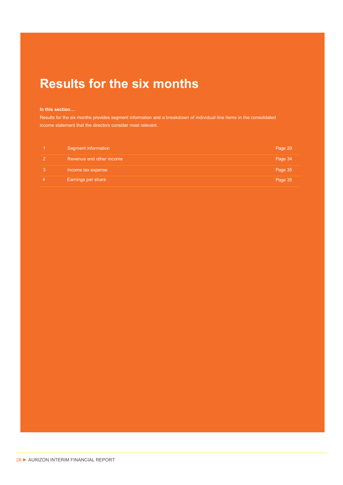# **Results for the six months**

## In this section...

Results for the six months provides segment information and a breakdown of individual line items in the consolidated income statement that the directors consider most relevant.

| Segment information      | Page 29 |
|--------------------------|---------|
| Revenue and other income | Page 34 |
| Income tax expense       | Page 35 |
| Earnings per share       | Page 35 |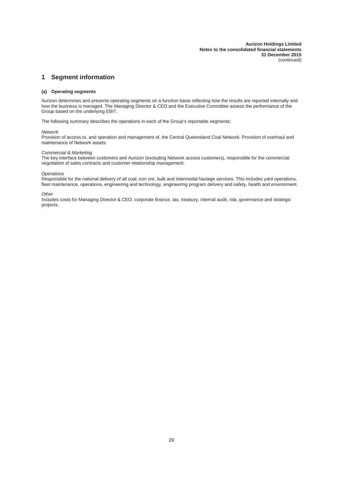## **1 Segment information**

#### **(a) Operating segments**

Aurizon determines and presents operating segments on a function basis reflecting how the results are reported internally and how the business is managed. The Managing Director & CEO and the Executive Committee assess the performance of the Group based on the underlying EBIT.

The following summary describes the operations in each of the Group's reportable segments:

#### *Network*

Provision of access to, and operation and management of, the Central Queensland Coal Network. Provision of overhaul and maintenance of Network assets.

#### *Commercial & Marketing*

The key interface between customers and Aurizon (excluding Network access customers), responsible for the commercial negotiation of sales contracts and customer relationship management.

#### *Operations*

Responsible for the national delivery of all coal, iron ore, bulk and intermodal haulage services. This includes yard operations, fleet maintenance, operations, engineering and technology, engineering program delivery and safety, health and environment.

#### *Other*

Includes costs for Managing Director & CEO, corporate finance, tax, treasury, internal audit, risk, governance and strategic projects.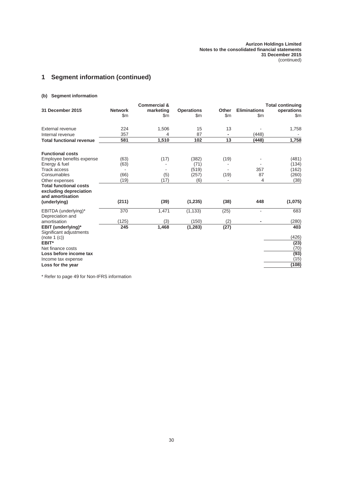## **1 Segment information (continued)**

## **(b) Segment information**

|                                                                             |                                 | <b>Commercial &amp;</b>    |                          |                        |                            | <b>Total continuing</b> |
|-----------------------------------------------------------------------------|---------------------------------|----------------------------|--------------------------|------------------------|----------------------------|-------------------------|
| 31 December 2015                                                            | <b>Network</b><br>$\mathsf{Sm}$ | marketing<br>$\mathsf{Sm}$ | <b>Operations</b><br>\$m | Other<br>$\mathsf{Sm}$ | <b>Eliminations</b><br>\$m | operations<br>\$m       |
| External revenue                                                            | 224                             | 1,506                      | 15                       | 13                     |                            | 1,758                   |
| Internal revenue                                                            | 357                             | 4                          | 87                       |                        | (448)                      |                         |
| <b>Total functional revenue</b>                                             | 581                             | 1,510                      | 102                      | 13                     | (448)                      | 1,758                   |
| <b>Functional costs</b>                                                     |                                 |                            |                          |                        |                            |                         |
| Employee benefits expense                                                   | (63)                            | (17)                       | (382)                    | (19)                   |                            | (481)                   |
| Energy & fuel                                                               | (63)                            |                            | (71)                     |                        |                            | (134)                   |
| <b>Track access</b>                                                         |                                 |                            | (519)                    |                        | 357                        | (162)                   |
| Consumables                                                                 | (66)                            | (5)                        | (257)                    | (19)                   | 87                         | (260)                   |
| Other expenses                                                              | (19)                            | (17)                       | (6)                      |                        | 4                          | (38)                    |
| <b>Total functional costs</b><br>excluding depreciation<br>and amortisation |                                 |                            |                          |                        |                            |                         |
| (underlying)                                                                | (211)                           | (39)                       | (1,235)                  | (38)                   | 448                        | (1,075)                 |
| EBITDA (underlying)*<br>Depreciation and                                    | 370                             | 1,471                      | (1, 133)                 | (25)                   | ÷.                         | 683                     |
| amortisation                                                                | (125)                           | (3)                        | (150)                    | (2)                    |                            | (280)                   |
| EBIT (underlying)*<br>Significant adjustments                               | 245                             | 1,468                      | (1, 283)                 | (27)                   |                            | 403                     |
| (note 1 (c))                                                                |                                 |                            |                          |                        |                            | (426)                   |
| EBIT*                                                                       |                                 |                            |                          |                        |                            | (23)                    |
| Net finance costs                                                           |                                 |                            |                          |                        |                            | (70)                    |
| Loss before income tax                                                      |                                 |                            |                          |                        |                            | (93)                    |
| Income tax expense                                                          |                                 |                            |                          |                        |                            | (15)                    |
| Loss for the year                                                           |                                 |                            |                          |                        |                            | (108)                   |

\* Refer to page 49 for Non-IFRS information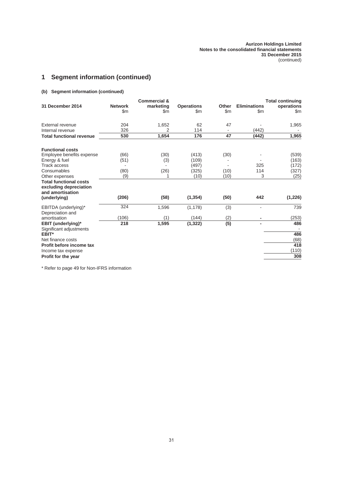## **1 Segment information (continued)**

## **(b) Segment information (continued)**

|                                                                             |                                 | <b>Commercial &amp;</b>    |                          |                        |                                      | <b>Total continuing</b> |
|-----------------------------------------------------------------------------|---------------------------------|----------------------------|--------------------------|------------------------|--------------------------------------|-------------------------|
| 31 December 2014                                                            | <b>Network</b><br>$\mathsf{Sm}$ | marketing<br>$\mathsf{Sm}$ | <b>Operations</b><br>\$m | Other<br>$\mathsf{Sm}$ | <b>Eliminations</b><br>$\mathsf{Sm}$ | operations<br>\$m       |
| External revenue                                                            | 204                             | 1,652                      | 62                       | 47                     |                                      | 1,965                   |
| Internal revenue                                                            | 326                             | 2                          | 114                      |                        | (442)                                |                         |
| <b>Total functional revenue</b>                                             | 530                             | 1,654                      | 176                      | 47                     | (442)                                | 1,965                   |
| <b>Functional costs</b>                                                     |                                 |                            |                          |                        |                                      |                         |
| Employee benefits expense                                                   | (66)                            | (30)                       | (413)                    | (30)                   |                                      | (539)                   |
| Energy & fuel                                                               | (51)                            | (3)                        | (109)                    |                        |                                      | (163)                   |
| <b>Track access</b>                                                         |                                 |                            | (497)                    |                        | 325                                  | (172)                   |
| Consumables                                                                 | (80)                            | (26)                       | (325)                    | (10)                   | 114                                  | (327)                   |
| Other expenses                                                              | (9)                             | 1                          | (10)                     | (10)                   | 3                                    | (25)                    |
| <b>Total functional costs</b><br>excluding depreciation<br>and amortisation |                                 |                            |                          |                        |                                      |                         |
| (underlying)                                                                | (206)                           | (58)                       | (1, 354)                 | (50)                   | 442                                  | (1, 226)                |
| EBITDA (underlying)*<br>Depreciation and                                    | 324                             | 1,596                      | (1, 178)                 | (3)                    |                                      | 739                     |
| amortisation                                                                | (106)                           | (1)                        | (144)                    | (2)                    |                                      | (253)                   |
| EBIT (underlying)*<br>Significant adjustments                               | 218                             | 1,595                      | (1, 322)                 | (5)                    |                                      | 486                     |
| EBIT*                                                                       |                                 |                            |                          |                        |                                      | 486                     |
| Net finance costs                                                           |                                 |                            |                          |                        |                                      | (68)                    |
| Profit before income tax                                                    |                                 |                            |                          |                        |                                      | 418                     |
| Income tax expense                                                          |                                 |                            |                          |                        |                                      | (110)                   |
| Profit for the year                                                         |                                 |                            |                          |                        |                                      | 308                     |

\* Refer to page 49 for Non-IFRS information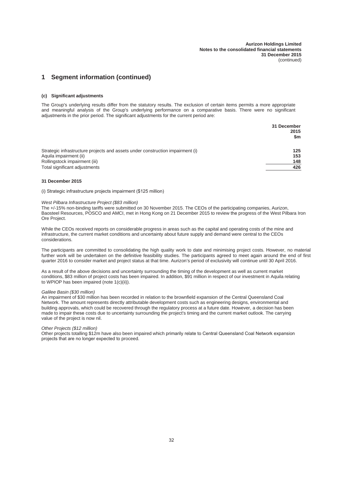## **1 Segment information (continued)**

#### **(c) Significant adjustments**

The Group's underlying results differ from the statutory results. The exclusion of certain items permits a more appropriate and meaningful analysis of the Group's underlying performance on a comparative basis. There were no significant adjustments in the prior period. The significant adjustments for the current period are:

|                                                                                | 31 December<br>2015<br>\$m |
|--------------------------------------------------------------------------------|----------------------------|
| Strategic infrastructure projects and assets under construction impairment (i) | 125                        |
| Aquila impairment (ii)                                                         | 153                        |
| Rollingstock impairment (iii)                                                  | 148                        |
| Total significant adjustments                                                  | 426                        |

#### **31 December 2015**

(i) Strategic infrastructure projects impairment (\$125 million)

#### *West Pilbara Infrastructure Project (\$83 million)*

The +/-15% non-binding tariffs were submitted on 30 November 2015. The CEOs of the participating companies, Aurizon, Baosteel Resources, POSCO and AMCI, met in Hong Kong on 21 December 2015 to review the progress of the West Pilbara Iron Ore Project.

While the CEOs received reports on considerable progress in areas such as the capital and operating costs of the mine and infrastructure, the current market conditions and uncertainty about future supply and demand were central to the CEOs considerations.

The participants are committed to consolidating the high quality work to date and minimising project costs. However, no material further work will be undertaken on the definitive feasibility studies. The participants agreed to meet again around the end of first quarter 2016 to consider market and project status at that time. Aurizon's period of exclusivity will continue until 30 April 2016.

As a result of the above decisions and uncertainty surrounding the timing of the development as well as current market conditions, \$83 million of project costs has been impaired. In addition, \$91 million in respect of our investment in Aquila relating to WPIOP has been impaired (note 1(c)(ii)).

#### *Galilee Basin (\$30 million)*

An impairment of \$30 million has been recorded in relation to the brownfield expansion of the Central Queensland Coal Network. The amount represents directly attributable development costs such as engineering designs, environmental and building approvals, which could be recovered through the regulatory process at a future date. However, a decision has been made to impair these costs due to uncertainty surrounding the project's timing and the current market outlook. The carrying value of the project is now nil.

#### *Other Projects (\$12 million)*

Other projects totalling \$12m have also been impaired which primarily relate to Central Queensland Coal Network expansion projects that are no longer expected to proceed.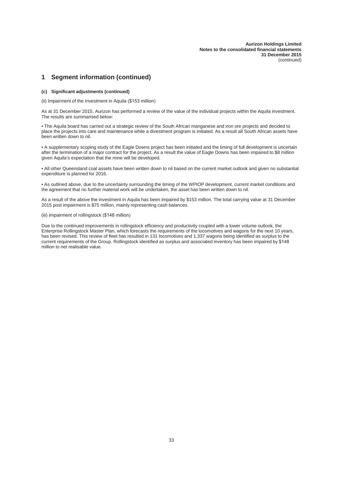## **1 Segment information (continued)**

#### **(c) Significant adjustments (continued)**

(ii) Impairment of the Investment in Aquila (\$153 million)

As at 31 December 2015, Aurizon has performed a review of the value of the individual projects within the Aquila investment. The results are summarised below:

• The Aquila board has carried out a strategic review of the South African manganese and iron ore projects and decided to place the projects into care and maintenance while a divestment program is initiated. As a result all South African assets have been written down to nil.

• A supplementary scoping study of the Eagle Downs project has been initiated and the timing of full development is uncertain after the termination of a major contract for the project. As a result the value of Eagle Downs has been impaired to \$8 million given Aquila's expectation that the mine will be developed.

• All other Queensland coal assets have been written down to nil based on the current market outlook and given no substantial expenditure is planned for 2016.

• As outlined above, due to the uncertainty surrounding the timing of the WPIOP development, current market conditions and the agreement that no further material work will be undertaken, the asset has been written down to nil.

As a result of the above the investment in Aquila has been impaired by \$153 million. The total carrying value at 31 December 2015 post impairment is \$75 million, mainly representing cash balances.

#### (iii) Impairment of rollingstock (\$148 million)

Due to the continued improvements in rollingstock efficiency and productivity coupled with a lower volume outlook, the Enterprise Rollingstock Master Plan, which forecasts the requirements of the locomotives and wagons for the next 10 years, has been revised. This review of fleet has resulted in 131 locomotives and 1,337 wagons being identified as surplus to the current requirements of the Group. Rollingstock identified as surplus and associated inventory has been impaired by \$148 million to net realisable value.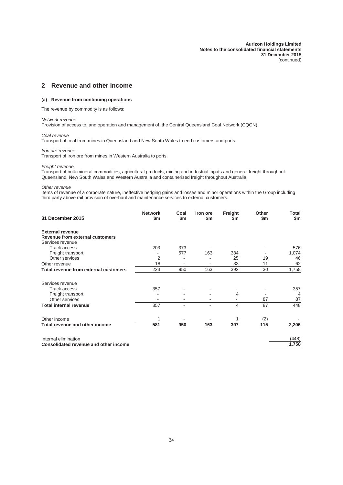## **2 Revenue and other income**

#### **(a) Revenue from continuing operations**

The revenue by commodity is as follows:

## *Network revenue*

Provision of access to, and operation and management of, the Central Queensland Coal Network (CQCN).

#### *Coal revenue*

Transport of coal from mines in Queensland and New South Wales to end customers and ports.

*Iron ore revenue*

Transport of iron ore from mines in Western Australia to ports.

#### *Freight revenue*

Transport of bulk mineral commodities, agricultural products, mining and industrial inputs and general freight throughout Queensland, New South Wales and Western Australia and containerised freight throughout Australia.

#### *Other revenue*

Items of revenue of a corporate nature, ineffective hedging gains and losses and minor operations within the Group including third party above rail provision of overhaul and maintenance services to external customers.

| 31 December 2015                      | <b>Network</b><br>\$m | Coal<br>\$m\$ | Iron ore<br>\$m              | Freight<br>\$m | Other<br>\$m | Total<br>\$m |
|---------------------------------------|-----------------------|---------------|------------------------------|----------------|--------------|--------------|
| <b>External revenue</b>               |                       |               |                              |                |              |              |
| Revenue from external customers       |                       |               |                              |                |              |              |
| Services revenue                      |                       |               |                              |                |              |              |
| <b>Track access</b>                   | 203                   | 373           |                              |                |              | 576          |
| Freight transport                     |                       | 577           | 163                          | 334            |              | 1,074        |
| Other services                        | 2                     |               |                              | 25             | 19           | 46           |
| Other revenue                         | 18                    |               |                              | 33             | 11           | 62           |
| Total revenue from external customers | 223                   | 950           | 163                          | 392            | 30           | 1,758        |
| Services revenue                      |                       |               |                              |                |              |              |
| <b>Track access</b>                   | 357                   |               |                              |                |              | 357          |
| Freight transport                     |                       |               |                              | 4              |              | 4            |
| Other services                        |                       |               | $\qquad \qquad \blacksquare$ |                | 87           | 87           |
| <b>Total internal revenue</b>         | 357                   |               | ٠                            | 4              | 87           | 448          |
| Other income                          |                       |               |                              |                | (2)          |              |
| Total revenue and other income        | 581                   | 950           | 163                          | 397            | 115          | 2,206        |
| Internal elimination                  |                       |               |                              |                |              | (448)        |
| Consolidated revenue and other income |                       |               |                              |                |              | 1,758        |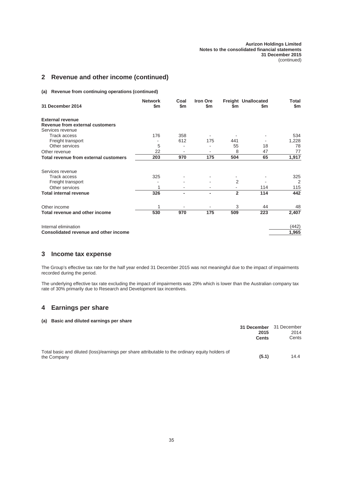## **2 Revenue and other income (continued)**

**(a) Revenue from continuing operations (continued)**

| 31 December 2014                      | <b>Network</b><br>\$m\$ | Coal<br>\$m | <b>Iron Ore</b><br>\$m | \$m            | <b>Freight Unallocated</b><br>\$m | Total<br>\$m |
|---------------------------------------|-------------------------|-------------|------------------------|----------------|-----------------------------------|--------------|
|                                       |                         |             |                        |                |                                   |              |
| <b>External revenue</b>               |                         |             |                        |                |                                   |              |
| Revenue from external customers       |                         |             |                        |                |                                   |              |
| Services revenue                      |                         |             |                        |                |                                   |              |
| <b>Track access</b>                   | 176                     | 358         |                        |                |                                   | 534          |
| Freight transport                     |                         | 612         | 175                    | 441            |                                   | 1,228        |
| Other services                        | 5                       |             |                        | 55             | 18                                | 78           |
| Other revenue                         | 22                      |             |                        | 8              | 47                                | 77           |
| Total revenue from external customers | 203                     | 970         | 175                    | 504            | 65                                | 1,917        |
| Services revenue                      |                         |             |                        |                |                                   |              |
| <b>Track access</b>                   | 325                     |             |                        |                |                                   | 325          |
| Freight transport                     |                         |             |                        | 2              |                                   | 2            |
| Other services                        |                         | ۰           |                        | ۰              | 114                               | 115          |
| <b>Total internal revenue</b>         | 326                     | ٠           |                        | $\overline{2}$ | 114                               | 442          |
| Other income                          |                         |             |                        | 3              | 44                                | 48           |
| Total revenue and other income        | 530                     | 970         | 175                    | 509            | 223                               | 2,407        |
| Internal elimination                  |                         |             |                        |                |                                   | (442)        |
| Consolidated revenue and other income |                         |             |                        |                |                                   | 1,965        |

## **3 Income tax expense**

The Group's effective tax rate for the half year ended 31 December 2015 was not meaningful due to the impact of impairments recorded during the period.

The underlying effective tax rate excluding the impact of impairments was 29% which is lower than the Australian company tax rate of 30% primarily due to Research and Development tax incentives.

## **4 Earnings per share**

## **(a) Basic and diluted earnings per share**

|                                                                                                  | 31 December 31 December |       |
|--------------------------------------------------------------------------------------------------|-------------------------|-------|
|                                                                                                  | 2015                    | 2014  |
|                                                                                                  | <b>Cents</b>            | Cents |
| Total basic and diluted (loss)/earnings per share attributable to the ordinary equity holders of |                         |       |
| the Company                                                                                      | (5.1)                   | 14.4  |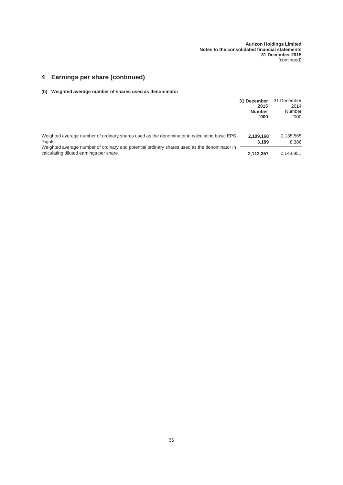## **4 Earnings per share (continued)**

## **(b) Weighted average number of shares used as denominator**

|                                                                                                                                        | 31 December<br>2015<br><b>Number</b><br>'000 | 31 December<br>2014<br>Number<br>'000 |
|----------------------------------------------------------------------------------------------------------------------------------------|----------------------------------------------|---------------------------------------|
| Weighted average number of ordinary shares used as the denominator in calculating basic EPS<br>Rights                                  | 2.109.168<br>3.189                           | 2,135,565<br>8.386                    |
| Weighted average number of ordinary and potential ordinary shares used as the denominator in<br>calculating diluted earnings per share | 2.112.357                                    | 2.143.951                             |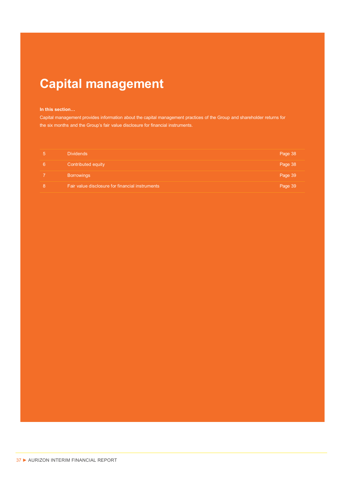# **Capital management**

#### In this section...

Capital management provides information about the capital management practices of the Group and shareholder returns for the six months and the Group's fair value disclosure for financial instruments.

|   | Dividends                                       | Page 38 |
|---|-------------------------------------------------|---------|
| 6 | Contributed equity                              | Page 38 |
|   | <b>Borrowings</b>                               | Page 39 |
| 8 | Fair value disclosure for financial instruments | Page 39 |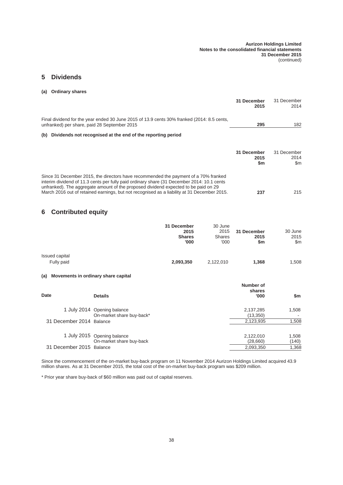## **5 Dividends**

#### **(a) Ordinary shares**

|                                                                                                                                                                                                                                                                                                                                                                         |                                              |                                           | 31 December<br>2015        | 31 December<br>2014              |
|-------------------------------------------------------------------------------------------------------------------------------------------------------------------------------------------------------------------------------------------------------------------------------------------------------------------------------------------------------------------------|----------------------------------------------|-------------------------------------------|----------------------------|----------------------------------|
| Final dividend for the year ended 30 June 2015 of 13.9 cents 30% franked (2014: 8.5 cents,<br>unfranked) per share, paid 28 September 2015                                                                                                                                                                                                                              |                                              |                                           | 295                        | 182                              |
| Dividends not recognised at the end of the reporting period<br>(b)                                                                                                                                                                                                                                                                                                      |                                              |                                           |                            |                                  |
|                                                                                                                                                                                                                                                                                                                                                                         |                                              |                                           | 31 December<br>2015<br>\$m | 31 December<br>2014<br>\$m       |
| Since 31 December 2015, the directors have recommended the payment of a 70% franked<br>interim dividend of 11.3 cents per fully paid ordinary share (31 December 2014: 10.1 cents<br>unfranked). The aggregate amount of the proposed dividend expected to be paid on 29<br>March 2016 out of retained earnings, but not recognised as a liability at 31 December 2015. |                                              |                                           | 237                        | 215                              |
| <b>Contributed equity</b><br>6                                                                                                                                                                                                                                                                                                                                          |                                              |                                           |                            |                                  |
|                                                                                                                                                                                                                                                                                                                                                                         | 31 December<br>2015<br><b>Shares</b><br>'000 | 30 June<br>2015<br><b>Shares</b><br>'000' | 31 December<br>2015<br>\$m | 30 June<br>2015<br>$\mathsf{Sm}$ |
| <b>Issued capital</b>                                                                                                                                                                                                                                                                                                                                                   |                                              |                                           |                            |                                  |
| Fully paid                                                                                                                                                                                                                                                                                                                                                              | 2,093,350                                    | 2,122,010                                 | 1,368                      | 1,508                            |

## **(a) Movements in ordinary share capital**

| Date                     | <b>Details</b>              | Number of<br>shares<br>'000 | \$m   |
|--------------------------|-----------------------------|-----------------------------|-------|
|                          | 1 July 2014 Opening balance | 2,137,285                   | 1,508 |
|                          | On-market share buy-back*   | (13,350)                    |       |
| 31 December 2014 Balance |                             | 2,123,935                   | 1,508 |
|                          | 1 July 2015 Opening balance | 2,122,010                   | 1,508 |
|                          | On-market share buy-back    | (28,660)                    | (140) |
| 31 December 2015 Balance |                             | 2,093,350                   | 1,368 |

Since the commencement of the on-market buy-back program on 11 November 2014 Aurizon Holdings Limited acquired 43.9 million shares. As at 31 December 2015, the total cost of the on-market buy-back program was \$209 million.

\* Prior year share buy-back of \$60 million was paid out of capital reserves.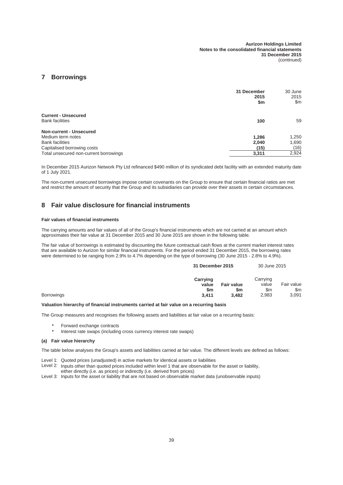## **7 Borrowings**

|                                                      | 31 December<br>2015<br>\$m | 30 June<br>2015<br>\$m |
|------------------------------------------------------|----------------------------|------------------------|
| <b>Current - Unsecured</b><br><b>Bank facilities</b> | 100                        | 59                     |
| <b>Non-current - Unsecured</b>                       |                            |                        |
| Medium term notes                                    | 1.286                      | 1,250                  |
| <b>Bank facilities</b>                               | 2,040                      | 1,690                  |
| Capitalised borrowing costs                          | (15)                       | (16)                   |
| Total unsecured non-current borrowings               | 3,311                      | 2,924                  |

In December 2015 Aurizon Network Pty Ltd refinanced \$490 million of its syndicated debt facility with an extended maturity date of 1 July 2021.

The non-current unsecured borrowings impose certain covenants on the Group to ensure that certain financial ratios are met and restrict the amount of security that the Group and its subsidiaries can provide over their assets in certain circumstances.

## **8 Fair value disclosure for financial instruments**

#### **Fair values of financial instruments**

The carrying amounts and fair values of all of the Group's financial instruments which are not carried at an amount which approximates their fair value at 31 December 2015 and 30 June 2015 are shown in the following table.

The fair value of borrowings is estimated by discounting the future contractual cash flows at the current market interest rates that are available to Aurizon for similar financial instruments. For the period ended 31 December 2015, the borrowing rates were determined to be ranging from 2.9% to 4.7% depending on the type of borrowing (30 June 2015 - 2.8% to 4.9%).

| 31 December 2015               |                          | 30 June 2015             |                                      |
|--------------------------------|--------------------------|--------------------------|--------------------------------------|
| Carrying<br>value<br><b>Sm</b> | <b>Fair value</b><br>\$m | Carrying<br>value<br>\$m | Fair value<br>$\mathsf{Sm}$<br>3,091 |
|                                | 3.411                    | 3.482                    | 2,983                                |

#### **Valuation hierarchy of financial instruments carried at fair value on a recurring basis**

The Group measures and recognises the following assets and liabilities at fair value on a recurring basis:

- Forward exchange contracts
- Interest rate swaps (including cross currency interest rate swaps)

#### **(a) Fair value hierarchy**

The table below analyses the Group's assets and liabilities carried at fair value. The different levels are defined as follows:

- Level 1: Quoted prices (unadjusted) in active markets for identical assets or liabilities
- Level 2: Inputs other than quoted prices included within level 1 that are observable for the asset or liability, either directly (i.e. as prices) or indirectly (i.e. derived from prices)
- Level 3: Inputs for the asset or liability that are not based on observable market data (unobservable inputs)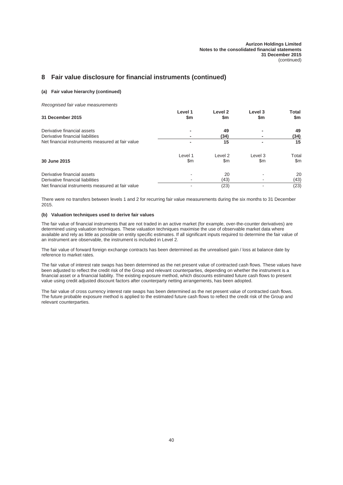## **8 Fair value disclosure for financial instruments (continued)**

#### **(a) Fair value hierarchy (continued)**

*Recognised fair value measurements*

| 31 December 2015                                 | Level 1<br>\$m | Level <sub>2</sub><br>\$m | Level 3<br>\$m | Total<br>\$m  |
|--------------------------------------------------|----------------|---------------------------|----------------|---------------|
| Derivative financial assets                      |                | 49                        |                | 49            |
| Derivative financial liabilities                 |                | (34)                      |                | (34)          |
| Net financial instruments measured at fair value |                | 15                        |                | 15            |
|                                                  | Level 1        | Level 2                   | Level 3        | Total         |
| 30 June 2015                                     | \$m            | \$m                       | \$m            | $\mathsf{Sm}$ |
| Derivative financial assets                      |                | 20                        |                | 20            |
| Derivative financial liabilities                 |                | (43)                      |                | (43)          |
| Net financial instruments measured at fair value |                | (23)                      |                | (23)          |

There were no transfers between levels 1 and 2 for recurring fair value measurements during the six months to 31 December 2015.

#### **(b) Valuation techniques used to derive fair values**

The fair value of financial instruments that are not traded in an active market (for example, over-the-counter derivatives) are determined using valuation techniques. These valuation techniques maximise the use of observable market data where available and rely as little as possible on entity specific estimates. If all significant inputs required to determine the fair value of an instrument are observable, the instrument is included in Level 2.

The fair value of forward foreign exchange contracts has been determined as the unrealised gain / loss at balance date by reference to market rates.

The fair value of interest rate swaps has been determined as the net present value of contracted cash flows. These values have been adjusted to reflect the credit risk of the Group and relevant counterparties, depending on whether the instrument is a financial asset or a financial liability. The existing exposure method, which discounts estimated future cash flows to present value using credit adjusted discount factors after counterparty netting arrangements, has been adopted.

The fair value of cross currency interest rate swaps has been determined as the net present value of contracted cash flows. The future probable exposure method is applied to the estimated future cash flows to reflect the credit risk of the Group and relevant counterparties.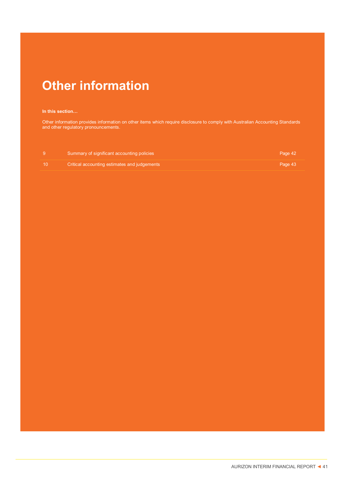# **Other information**

## **In this section...**

Other information provides information on other items which require disclosure to comply with Australian Accounting Standards and other regulatory pronouncements.

|      | Summary of significant accounting policies   | Page 42 |
|------|----------------------------------------------|---------|
| - 10 | Critical accounting estimates and judgements | Page 43 |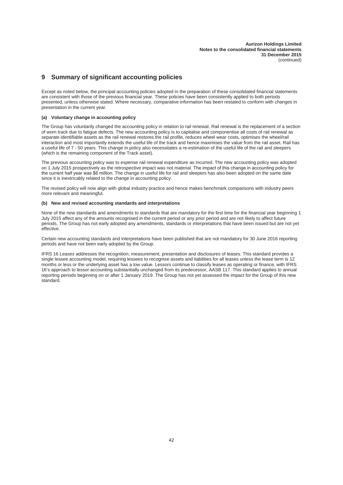## **9 Summary of significant accounting policies**

Except as noted below, the principal accounting policies adopted in the preparation of these consolidated financial statements are consistent with those of the previous financial year. These policies have been consistently applied to both periods presented, unless otherwise stated. Where necessary, comparative information has been restated to conform with changes in presentation in the current year.

#### **(a) Voluntary change in accounting policy**

The Group has voluntarily changed the accounting policy in relation to rail renewal. Rail renewal is the replacement of a section of worn track due to fatigue defects. The new accounting policy is to capitalise and componentise all costs of rail renewal as separate identifiable assets as the rail renewal restores the rail profile, reduces wheel wear costs, optimises the wheel/rail interaction and most importantly extends the useful life of the track and hence maximises the value from the rail asset. Rail has a useful life of 7 - 50 years. This change in policy also necessitates a re-estimation of the useful life of the rail and sleepers (which is the remaining component of the Track asset).

The previous accounting policy was to expense rail renewal expenditure as incurred. The new accounting policy was adopted on 1 July 2015 prospectively as the retrospective impact was not material. The impact of this change in accounting policy for the current half year was \$6 million. The change in useful life for rail and sleepers has also been adopted on the same date since it is inextricably related to the change in accounting policy.

The revised policy will now align with global industry practice and hence makes benchmark comparisons with industry peers more relevant and meaningful.

#### **(b) New and revised accounting standards and interpretations**

None of the new standards and amendments to standards that are mandatory for the first time for the financial year beginning 1 July 2015 affect any of the amounts recognised in the current period or any prior period and are not likely to affect future periods. The Group has not early adopted any amendments, standards or interpretations that have been issued but are not yet effective.

Certain new accounting standards and interpretations have been published that are not mandatory for 30 June 2016 reporting periods and have not been early adopted by the Group.

IFRS 16 *Leases* addresses the recognition, measurement, presentation and disclosures of leases. This standard provides a single lessee accounting model, requiring lessees to recognise assets and liabilities for all leases unless the lease term is 12 months or less or the underlying asset has a low value. Lessors continue to classify leases as operating or finance, with IFRS 16's approach to lessor accounting substantially unchanged from its predecessor, AASB 117. This standard applies to annual reporting periods beginning on or after 1 January 2019. The Group has not yet assessed the impact for the Group of this new standard.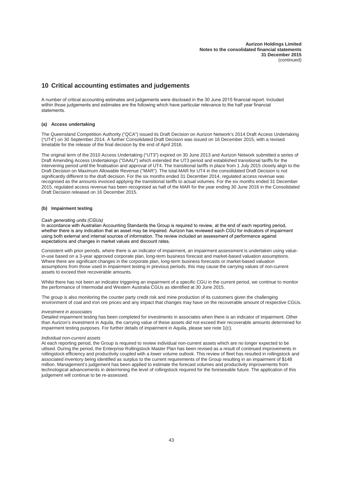## **10 Critical accounting estimates and judgements**

A number of critical accounting estimates and judgements were disclosed in the 30 June 2015 financial report. Included within those judgements and estimates are the following which have particular relevance to the half year financial statements.

#### **(a) Access undertaking**

The Queensland Competition Authority ("QCA") issued its Draft Decision on Aurizon Network's 2014 Draft Access Undertaking ("UT4") on 30 September 2014. A further Consolidated Draft Decision was issued on 16 December 2015, with a revised timetable for the release of the final decision by the end of April 2016.

The original term of the 2010 Access Undertaking ("UT3") expired on 30 June 2013 and Aurizon Network submitted a series of Draft Amending Access Undertakings ("DAAU") which extended the UT3 period and established transitional tariffs for the intervening period until the finalisation and approval of UT4. The transitional tariffs in place from 1 July 2015 closely align to the Draft Decision on Maximum Allowable Revenue ("MAR"). The total MAR for UT4 in the consolidated Draft Decision is not significantly different to the draft decision. For the six months ended 31 December 2014, regulated access revenue was recognised as the amounts invoiced applying the transitional tariffs to actual volumes. For the six months ended 31 December 2015, regulated access revenue has been recognised as half of the MAR for the year ending 30 June 2016 in the Consolidated Draft Decision released on 16 December 2015.

#### **(b) Impairment testing**

#### *Cash generating units (CGUs)*

In accordance with Australian Accounting Standards the Group is required to review, at the end of each reporting period, whether there is any indication that an asset may be impaired. Aurizon has reviewed each CGU for indicators of impairment using both external and internal sources of information. The review included an assessment of performance against expectations and changes in market values and discount rates.

Consistent with prior periods, where there is an indicator of impairment, an impairment assessment is undertaken using valuein-use based on a 3-year approved corporate plan, long-term business forecast and market-based valuation assumptions. Where there are significant changes in the corporate plan, long-term business forecasts or market-based valuation assumptions from those used in impairment testing in previous periods, this may cause the carrying values of non-current assets to exceed their recoverable amounts.

Whilst there has not been an indicator triggering an impairment of a specific CGU in the current period, we continue to monitor the performance of Intermodal and Western Australia CGUs as identified at 30 June 2015.

The group is also monitoring the counter party credit risk and mine production of its customers given the challenging environment of coal and iron ore prices and any impact that changes may have on the recoverable amount of respective CGUs.

#### *Investment in associates*

Detailed impairment testing has been completed for investments in associates when there is an indicator of impairment. Other than Aurizon's investment in Aquila, the carrying value of these assets did not exceed their recoverable amounts determined for impairment testing purposes. For further details of impairment in Aquila, please see note 1(c).

#### *Individual non-current assets*

At each reporting period, the Group is required to review individual non-current assets which are no longer expected to be utlised. During the period, the Enterprise Rollingstock Master Plan has been revised as a result of continued improvements in rollingstock efficiency and productivity coupled with a lower volume outlook. This review of fleet has resulted in rollingstock and associated inventory being identified as surplus to the current requirements of the Group resulting in an impairment of \$148 million. Management's judgement has been applied to estimate the forecast volumes and productivity improvements from technological advancements in determining the level of rollingstock required for the foreseeable future. The application of this judgement will continue to be re-assessed.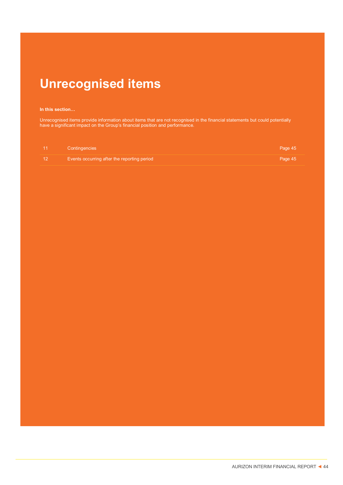# **Unrecognised items**

#### In this section...

Unrecognised items provide information about items that are not recognised in the financial statements but could potentially have a significant impact on the Group's financial position and performance.

| ∣ 11 | Contingencies                               | Page 45 |
|------|---------------------------------------------|---------|
|      | Events occurring after the reporting period | Page 45 |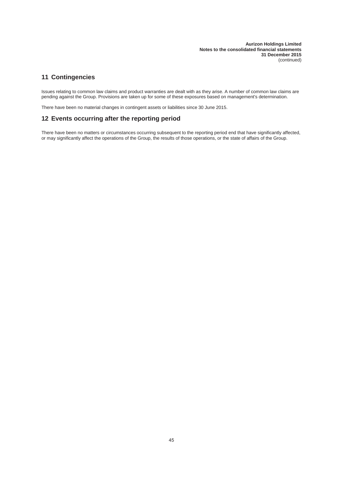## **11 Contingencies**

Issues relating to common law claims and product warranties are dealt with as they arise. A number of common law claims are pending against the Group. Provisions are taken up for some of these exposures based on management's determination.

There have been no material changes in contingent assets or liabilities since 30 June 2015.

## **12 Events occurring after the reporting period**

There have been no matters or circumstances occurring subsequent to the reporting period end that have significantly affected, or may significantly affect the operations of the Group, the results of those operations, or the state of affairs of the Group.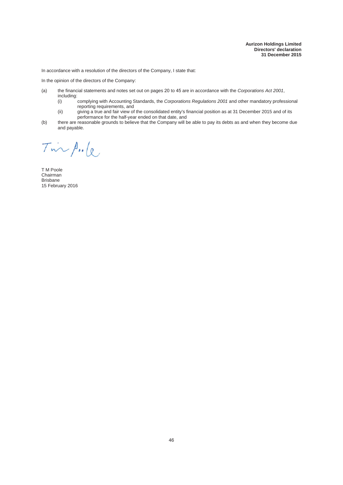In accordance with a resolution of the directors of the Company, I state that:

In the opinion of the directors of the Company:

- (a) the financial statements and notes set out on pages 20 to 45 are in accordance with the *Corporations Act* 2001, including:
	- (i) complying with Accounting Standards, the *Corporations Regulations 2001* and other mandatory professional reporting requirements, and
	- (ii) giving a true and fair view of the consolidated entity's financial position as at 31 December 2015 and of its performance for the half-year ended on that date, and
- (b) there are reasonable grounds to believe that the Company will be able to pay its debts as and when they become due and payable.

Tin A.le

T M Poole Chairman **Brisbane** 15 February 2016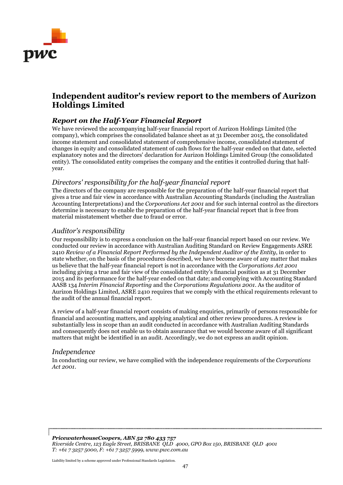

# **Independent auditor's review report to the members of Aurizon Holdings Limited**

## *Report on the Half-Year Financial Report*

We have reviewed the accompanying half-year financial report of Aurizon Holdings Limited (the company), which comprises the consolidated balance sheet as at 31 December 2015, the consolidated income statement and consolidated statement of comprehensive income, consolidated statement of changes in equity and consolidated statement of cash flows for the half-year ended on that date, selected explanatory notes and the directors' declaration for Aurizon Holdings Limited Group (the consolidated entity). The consolidated entity comprises the company and the entities it controlled during that halfyear.

## *Directors' responsibility for the half-year financial report*

The directors of the company are responsible for the preparation of the half-year financial report that gives a true and fair view in accordance with Australian Accounting Standards (including the Australian Accounting Interpretations) and the *Corporations Act 2001* and for such internal control as the directors determine is necessary to enable the preparation of the half-year financial report that is free from material misstatement whether due to fraud or error.

## *Auditor's responsibility*

Our responsibility is to express a conclusion on the half-year financial report based on our review. We conducted our review in accordance with Australian Auditing Standard on Review Engagements ASRE 2410 *Review of a Financial Report Performed by the Independent Auditor of the Entity*, in order to state whether, on the basis of the procedures described, we have become aware of any matter that makes us believe that the half-year financial report is not in accordance with the *Corporations Act 2001* including giving a true and fair view of the consolidated entity's financial position as at 31 December 2015 and its performance for the half-year ended on that date; and complying with Accounting Standard AASB 134 *Interim Financial Reporting* and the *Corporations Regulations 2001*. As the auditor of Aurizon Holdings Limited, ASRE 2410 requires that we comply with the ethical requirements relevant to the audit of the annual financial report.

A review of a half-year financial report consists of making enquiries, primarily of persons responsible for financial and accounting matters, and applying analytical and other review procedures. A review is substantially less in scope than an audit conducted in accordance with Australian Auditing Standards and consequently does not enable us to obtain assurance that we would become aware of all significant matters that might be identified in an audit. Accordingly, we do not express an audit opinion.

## *Independence*

In conducting our review, we have complied with the independence requirements of the *Corporations Act 2001*.

*PricewaterhouseCoopers, ABN 52 780 433 757 Riverside Centre, 123 Eagle Street, BRISBANE QLD 4000, GPO Box 150, BRISBANE QLD 4001 T: +61 7 3257 5000, F: +61 7 3257 5999, www.pwc.com.au*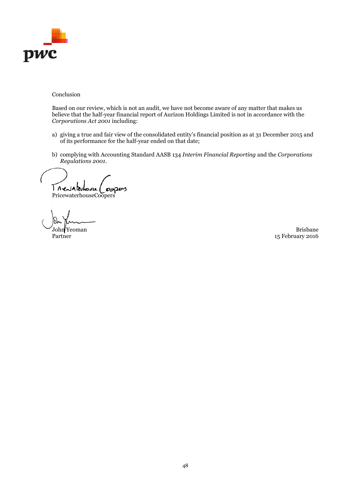

## Conclusion

Based on our review, which is not an audit, we have not become aware of any matter that makes us believe that the half-year financial report of Aurizon Holdings Limited is not in accordance with the *Corporations Act 2001* including:

- a) giving a true and fair view of the consolidated entity's financial position as at 31 December 2015 and of its performance for the half-year ended on that date;
- b) complying with Accounting Standard AASB 134 *Interim Financial Reporting* and the *Corporations Regulations 2001*.

Trevaterhouse

PricewaterhouseCoopers

John Yeoman Brisbane 15 February 2016